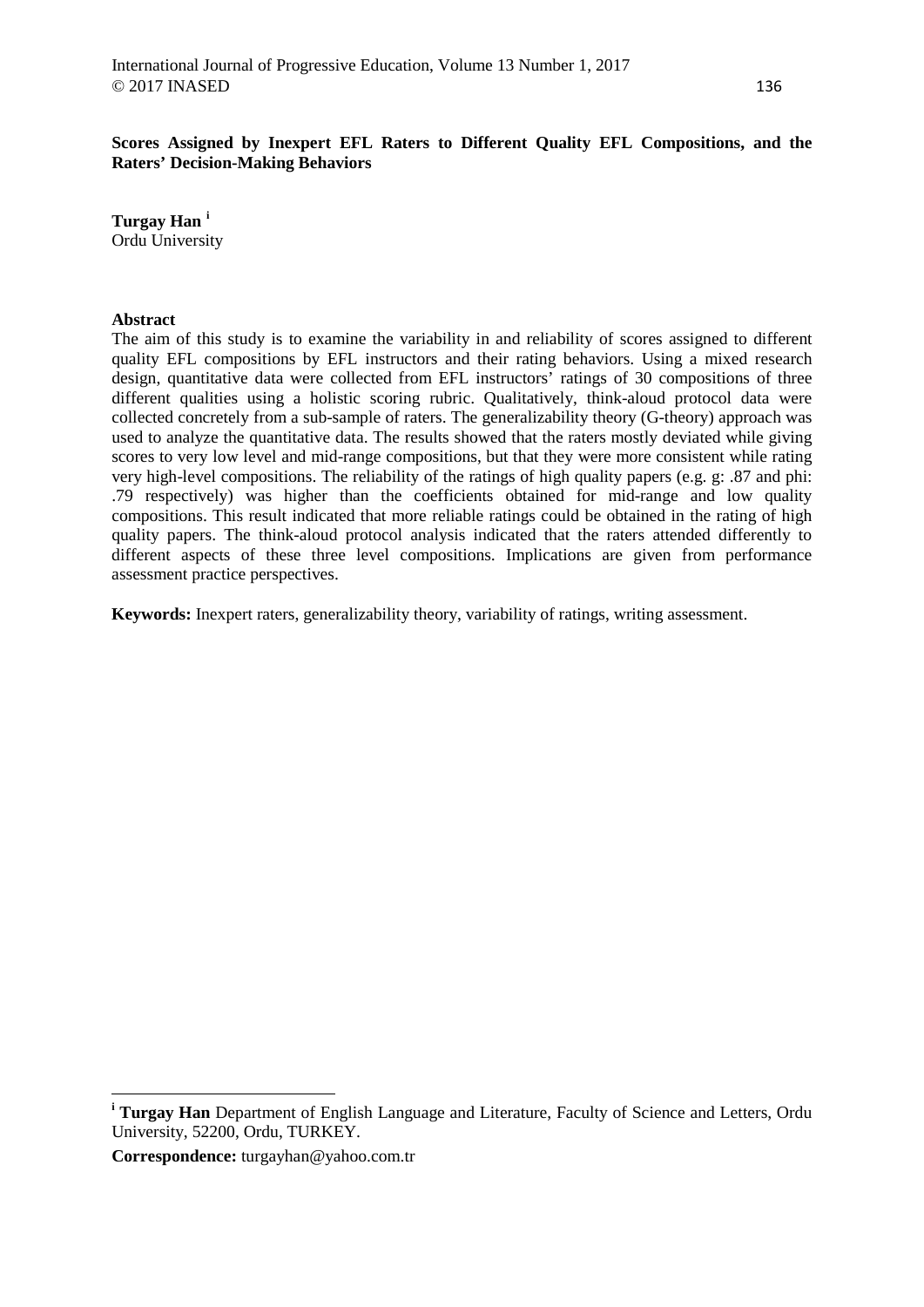**Scores Assigned by Inexpert EFL Raters to Different Quality EFL Compositions, and the Raters' Decision-Making Behaviors**

**Turgay Han [i](#page-0-0)** Ordu University

## **Abstract**

The aim of this study is to examine the variability in and reliability of scores assigned to different quality EFL compositions by EFL instructors and their rating behaviors. Using a mixed research design, quantitative data were collected from EFL instructors' ratings of 30 compositions of three different qualities using a holistic scoring rubric. Qualitatively, think-aloud protocol data were collected concretely from a sub-sample of raters. The generalizability theory (G-theory) approach was used to analyze the quantitative data. The results showed that the raters mostly deviated while giving scores to very low level and mid-range compositions, but that they were more consistent while rating very high-level compositions. The reliability of the ratings of high quality papers (e.g. g: .87 and phi: .79 respectively) was higher than the coefficients obtained for mid-range and low quality compositions. This result indicated that more reliable ratings could be obtained in the rating of high quality papers. The think-aloud protocol analysis indicated that the raters attended differently to different aspects of these three level compositions. Implications are given from performance assessment practice perspectives.

**Keywords:** Inexpert raters, generalizability theory, variability of ratings, writing assessment.

**Correspondence:** turgayhan@yahoo.com.tr

 $\overline{a}$ 

<span id="page-0-0"></span>**<sup>i</sup> Turgay Han** Department of English Language and Literature, Faculty of Science and Letters, Ordu University, 52200, Ordu, TURKEY.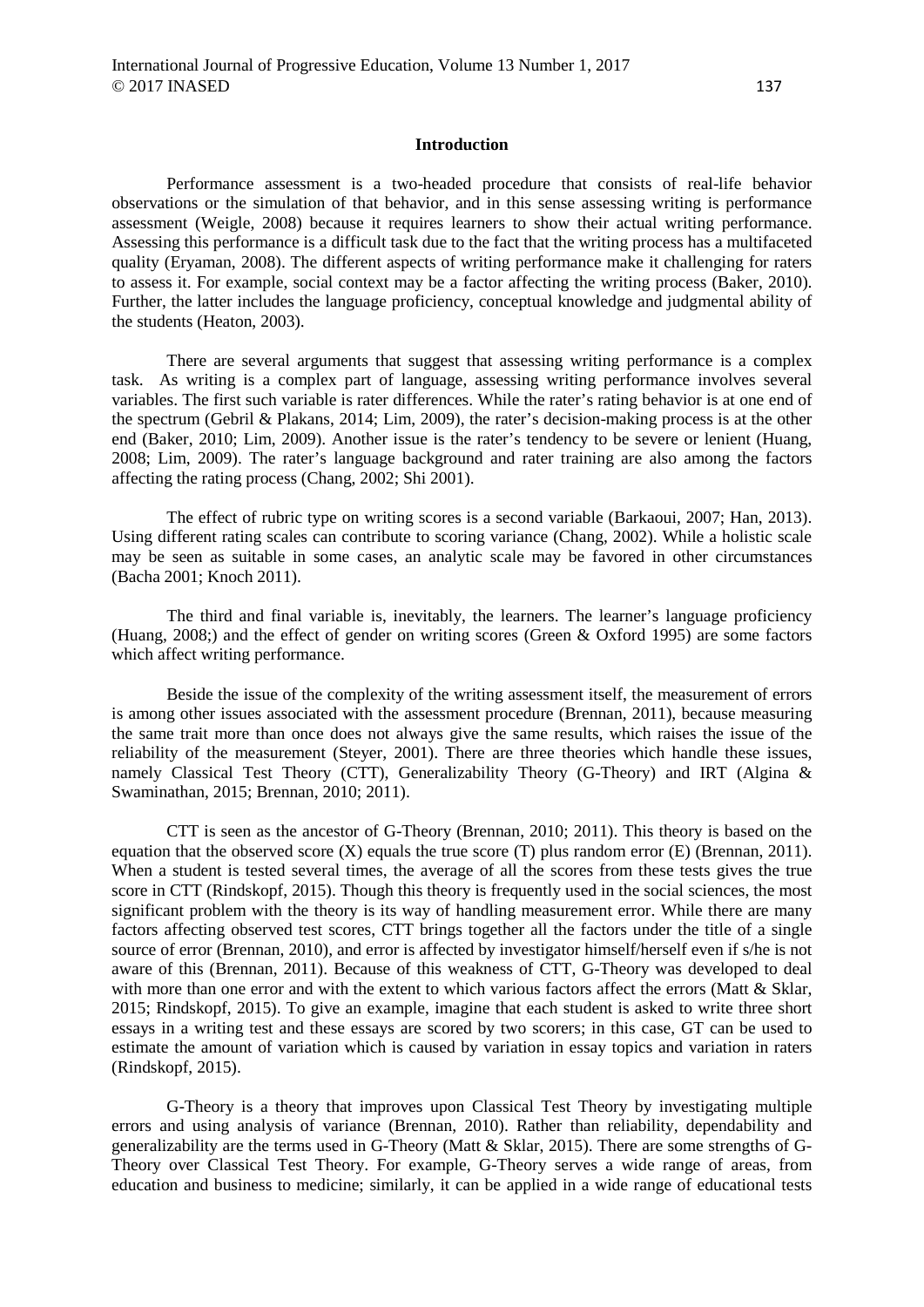#### **Introduction**

Performance assessment is a two-headed procedure that consists of real-life behavior observations or the simulation of that behavior, and in this sense assessing writing is performance assessment (Weigle, 2008) because it requires learners to show their actual writing performance. Assessing this performance is a difficult task due to the fact that the writing process has a multifaceted quality (Eryaman, 2008). The different aspects of writing performance make it challenging for raters to assess it. For example, social context may be a factor affecting the writing process (Baker, 2010). Further, the latter includes the language proficiency, conceptual knowledge and judgmental ability of the students (Heaton, 2003).

There are several arguments that suggest that assessing writing performance is a complex task. As writing is a complex part of language, assessing writing performance involves several variables. The first such variable is rater differences. While the rater's rating behavior is at one end of the spectrum (Gebril & Plakans, 2014; Lim, 2009), the rater's decision-making process is at the other end (Baker, 2010; Lim, 2009). Another issue is the rater's tendency to be severe or lenient (Huang, 2008; Lim, 2009). The rater's language background and rater training are also among the factors affecting the rating process (Chang, 2002; Shi 2001).

The effect of rubric type on writing scores is a second variable (Barkaoui, 2007; Han, 2013). Using different rating scales can contribute to scoring variance (Chang, 2002). While a holistic scale may be seen as suitable in some cases, an analytic scale may be favored in other circumstances (Bacha 2001; Knoch 2011).

The third and final variable is, inevitably, the learners. The learner's language proficiency (Huang, 2008;) and the effect of gender on writing scores (Green & Oxford 1995) are some factors which affect writing performance.

Beside the issue of the complexity of the writing assessment itself, the measurement of errors is among other issues associated with the assessment procedure (Brennan, 2011), because measuring the same trait more than once does not always give the same results, which raises the issue of the reliability of the measurement (Steyer, 2001). There are three theories which handle these issues, namely Classical Test Theory (CTT), Generalizability Theory (G-Theory) and IRT (Algina & Swaminathan, 2015; Brennan, 2010; 2011).

CTT is seen as the ancestor of G-Theory (Brennan, 2010; 2011). This theory is based on the equation that the observed score  $(X)$  equals the true score  $(T)$  plus random error  $(E)$  (Brennan, 2011). When a student is tested several times, the average of all the scores from these tests gives the true score in CTT (Rindskopf, 2015). Though this theory is frequently used in the social sciences, the most significant problem with the theory is its way of handling measurement error. While there are many factors affecting observed test scores, CTT brings together all the factors under the title of a single source of error (Brennan, 2010), and error is affected by investigator himself/herself even if s/he is not aware of this (Brennan, 2011). Because of this weakness of CTT, G-Theory was developed to deal with more than one error and with the extent to which various factors affect the errors (Matt & Sklar, 2015; Rindskopf, 2015). To give an example, imagine that each student is asked to write three short essays in a writing test and these essays are scored by two scorers; in this case, GT can be used to estimate the amount of variation which is caused by variation in essay topics and variation in raters (Rindskopf, 2015).

G-Theory is a theory that improves upon Classical Test Theory by investigating multiple errors and using analysis of variance (Brennan, 2010). Rather than reliability, dependability and generalizability are the terms used in G-Theory (Matt & Sklar, 2015). There are some strengths of G-Theory over Classical Test Theory. For example, G-Theory serves a wide range of areas, from education and business to medicine; similarly, it can be applied in a wide range of educational tests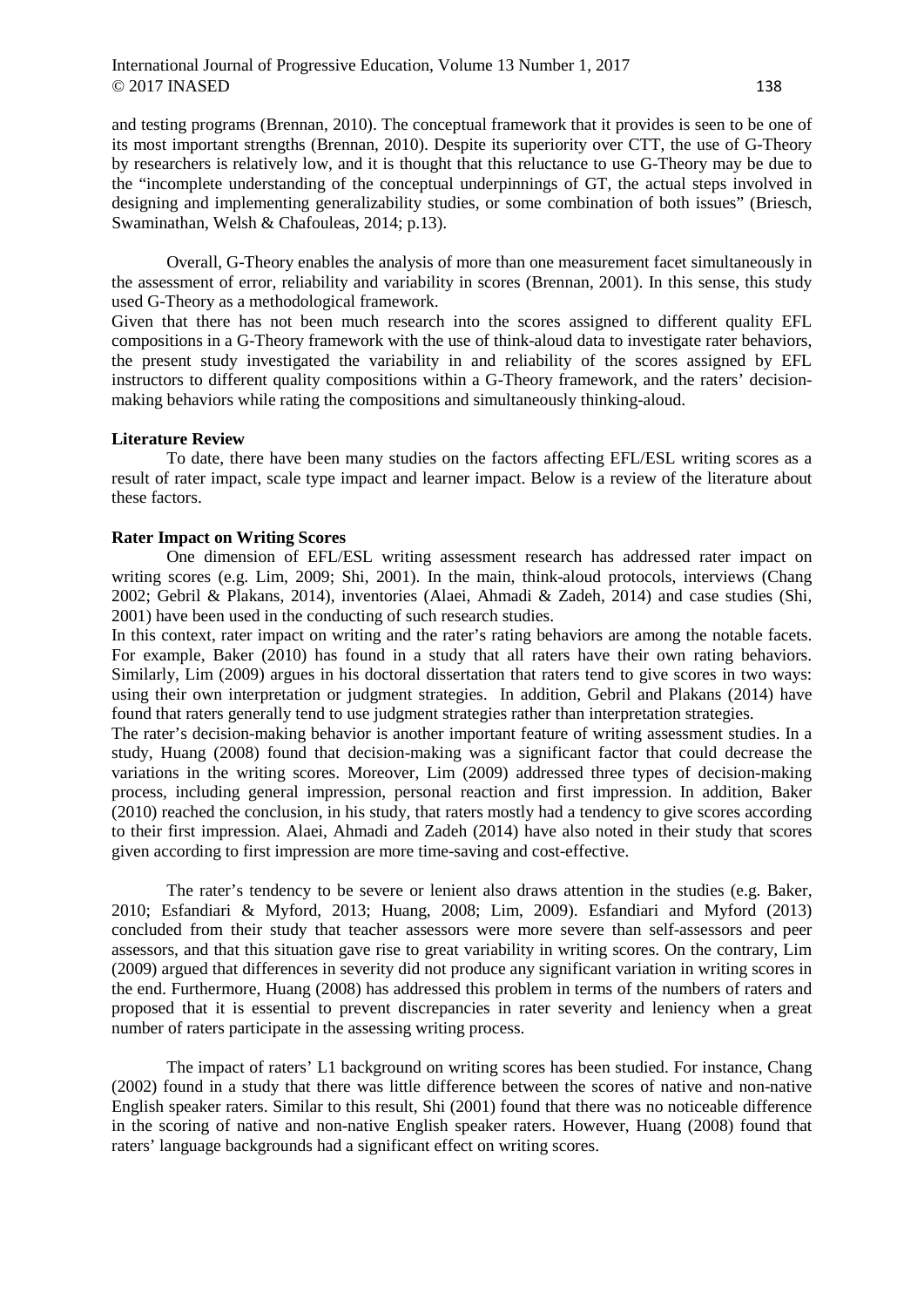## International Journal of Progressive Education, Volume 13 Number 1, 2017  $\odot$  2017 INASED 138

and testing programs (Brennan, 2010). The conceptual framework that it provides is seen to be one of its most important strengths (Brennan, 2010). Despite its superiority over CTT, the use of G-Theory by researchers is relatively low, and it is thought that this reluctance to use G-Theory may be due to the "incomplete understanding of the conceptual underpinnings of GT, the actual steps involved in designing and implementing generalizability studies, or some combination of both issues" (Briesch, Swaminathan, Welsh & Chafouleas, 2014; p.13).

Overall, G-Theory enables the analysis of more than one measurement facet simultaneously in the assessment of error, reliability and variability in scores (Brennan, 2001). In this sense, this study used G-Theory as a methodological framework.

Given that there has not been much research into the scores assigned to different quality EFL compositions in a G-Theory framework with the use of think-aloud data to investigate rater behaviors, the present study investigated the variability in and reliability of the scores assigned by EFL instructors to different quality compositions within a G-Theory framework, and the raters' decisionmaking behaviors while rating the compositions and simultaneously thinking-aloud.

## **Literature Review**

To date, there have been many studies on the factors affecting EFL/ESL writing scores as a result of rater impact, scale type impact and learner impact. Below is a review of the literature about these factors.

# **Rater Impact on Writing Scores**

One dimension of EFL/ESL writing assessment research has addressed rater impact on writing scores (e.g. Lim, 2009; Shi, 2001). In the main, think-aloud protocols, interviews (Chang 2002; Gebril & Plakans, 2014), inventories (Alaei, Ahmadi & Zadeh, 2014) and case studies (Shi, 2001) have been used in the conducting of such research studies.

In this context, rater impact on writing and the rater's rating behaviors are among the notable facets. For example, Baker (2010) has found in a study that all raters have their own rating behaviors. Similarly, Lim (2009) argues in his doctoral dissertation that raters tend to give scores in two ways: using their own interpretation or judgment strategies. In addition, Gebril and Plakans (2014) have found that raters generally tend to use judgment strategies rather than interpretation strategies.

The rater's decision-making behavior is another important feature of writing assessment studies. In a study, Huang (2008) found that decision-making was a significant factor that could decrease the variations in the writing scores. Moreover, Lim (2009) addressed three types of decision-making process, including general impression, personal reaction and first impression. In addition, Baker (2010) reached the conclusion, in his study, that raters mostly had a tendency to give scores according to their first impression. Alaei, Ahmadi and Zadeh (2014) have also noted in their study that scores given according to first impression are more time-saving and cost-effective.

The rater's tendency to be severe or lenient also draws attention in the studies (e.g. Baker, 2010; Esfandiari & Myford, 2013; Huang, 2008; Lim, 2009). Esfandiari and Myford (2013) concluded from their study that teacher assessors were more severe than self-assessors and peer assessors, and that this situation gave rise to great variability in writing scores. On the contrary, Lim (2009) argued that differences in severity did not produce any significant variation in writing scores in the end. Furthermore, Huang (2008) has addressed this problem in terms of the numbers of raters and proposed that it is essential to prevent discrepancies in rater severity and leniency when a great number of raters participate in the assessing writing process.

The impact of raters' L1 background on writing scores has been studied. For instance, Chang (2002) found in a study that there was little difference between the scores of native and non-native English speaker raters. Similar to this result, Shi (2001) found that there was no noticeable difference in the scoring of native and non-native English speaker raters. However, Huang (2008) found that raters' language backgrounds had a significant effect on writing scores.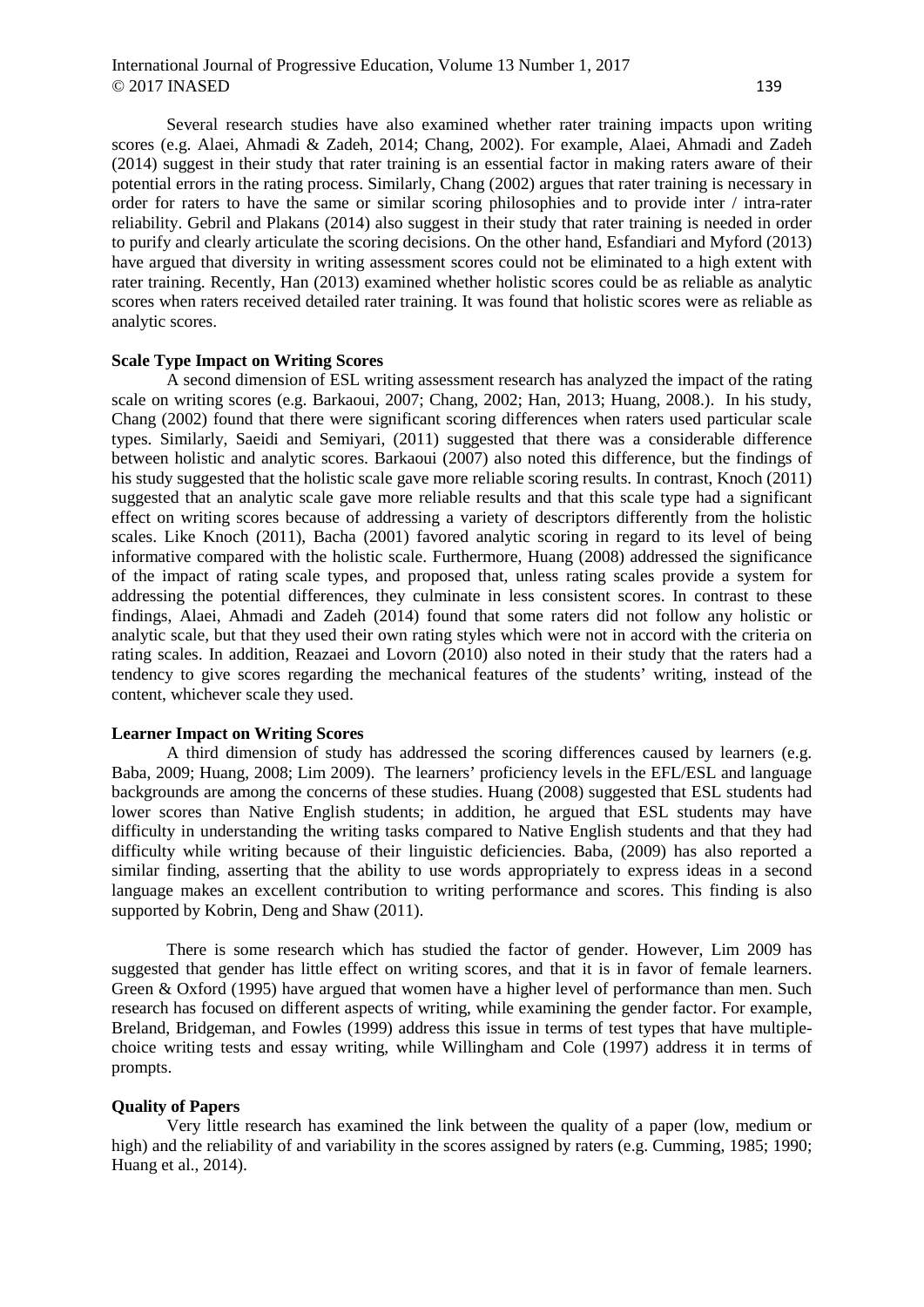Several research studies have also examined whether rater training impacts upon writing scores (e.g. Alaei, Ahmadi & Zadeh, 2014; Chang, 2002). For example, Alaei, Ahmadi and Zadeh (2014) suggest in their study that rater training is an essential factor in making raters aware of their potential errors in the rating process. Similarly, Chang (2002) argues that rater training is necessary in order for raters to have the same or similar scoring philosophies and to provide inter / intra-rater reliability. Gebril and Plakans (2014) also suggest in their study that rater training is needed in order to purify and clearly articulate the scoring decisions. On the other hand, Esfandiari and Myford (2013) have argued that diversity in writing assessment scores could not be eliminated to a high extent with rater training. Recently, Han (2013) examined whether holistic scores could be as reliable as analytic scores when raters received detailed rater training. It was found that holistic scores were as reliable as analytic scores.

# **Scale Type Impact on Writing Scores**

A second dimension of ESL writing assessment research has analyzed the impact of the rating scale on writing scores (e.g. Barkaoui, 2007; Chang, 2002; Han, 2013; Huang, 2008.). In his study, Chang (2002) found that there were significant scoring differences when raters used particular scale types. Similarly, Saeidi and Semiyari, (2011) suggested that there was a considerable difference between holistic and analytic scores. Barkaoui (2007) also noted this difference, but the findings of his study suggested that the holistic scale gave more reliable scoring results. In contrast, Knoch (2011) suggested that an analytic scale gave more reliable results and that this scale type had a significant effect on writing scores because of addressing a variety of descriptors differently from the holistic scales. Like Knoch (2011), Bacha (2001) favored analytic scoring in regard to its level of being informative compared with the holistic scale. Furthermore, Huang (2008) addressed the significance of the impact of rating scale types, and proposed that, unless rating scales provide a system for addressing the potential differences, they culminate in less consistent scores. In contrast to these findings, Alaei, Ahmadi and Zadeh (2014) found that some raters did not follow any holistic or analytic scale, but that they used their own rating styles which were not in accord with the criteria on rating scales. In addition, Reazaei and Lovorn (2010) also noted in their study that the raters had a tendency to give scores regarding the mechanical features of the students' writing, instead of the content, whichever scale they used.

#### **Learner Impact on Writing Scores**

A third dimension of study has addressed the scoring differences caused by learners (e.g. Baba, 2009; Huang, 2008; Lim 2009). The learners' proficiency levels in the EFL/ESL and language backgrounds are among the concerns of these studies. Huang (2008) suggested that ESL students had lower scores than Native English students; in addition, he argued that ESL students may have difficulty in understanding the writing tasks compared to Native English students and that they had difficulty while writing because of their linguistic deficiencies. Baba, (2009) has also reported a similar finding, asserting that the ability to use words appropriately to express ideas in a second language makes an excellent contribution to writing performance and scores. This finding is also supported by Kobrin, Deng and Shaw (2011).

There is some research which has studied the factor of gender. However, Lim 2009 has suggested that gender has little effect on writing scores, and that it is in favor of female learners. Green & Oxford (1995) have argued that women have a higher level of performance than men. Such research has focused on different aspects of writing, while examining the gender factor. For example, Breland, Bridgeman, and Fowles (1999) address this issue in terms of test types that have multiplechoice writing tests and essay writing, while Willingham and Cole (1997) address it in terms of prompts.

# **Quality of Papers**

Very little research has examined the link between the quality of a paper (low, medium or high) and the reliability of and variability in the scores assigned by raters (e.g. Cumming, 1985; 1990; Huang et al., 2014).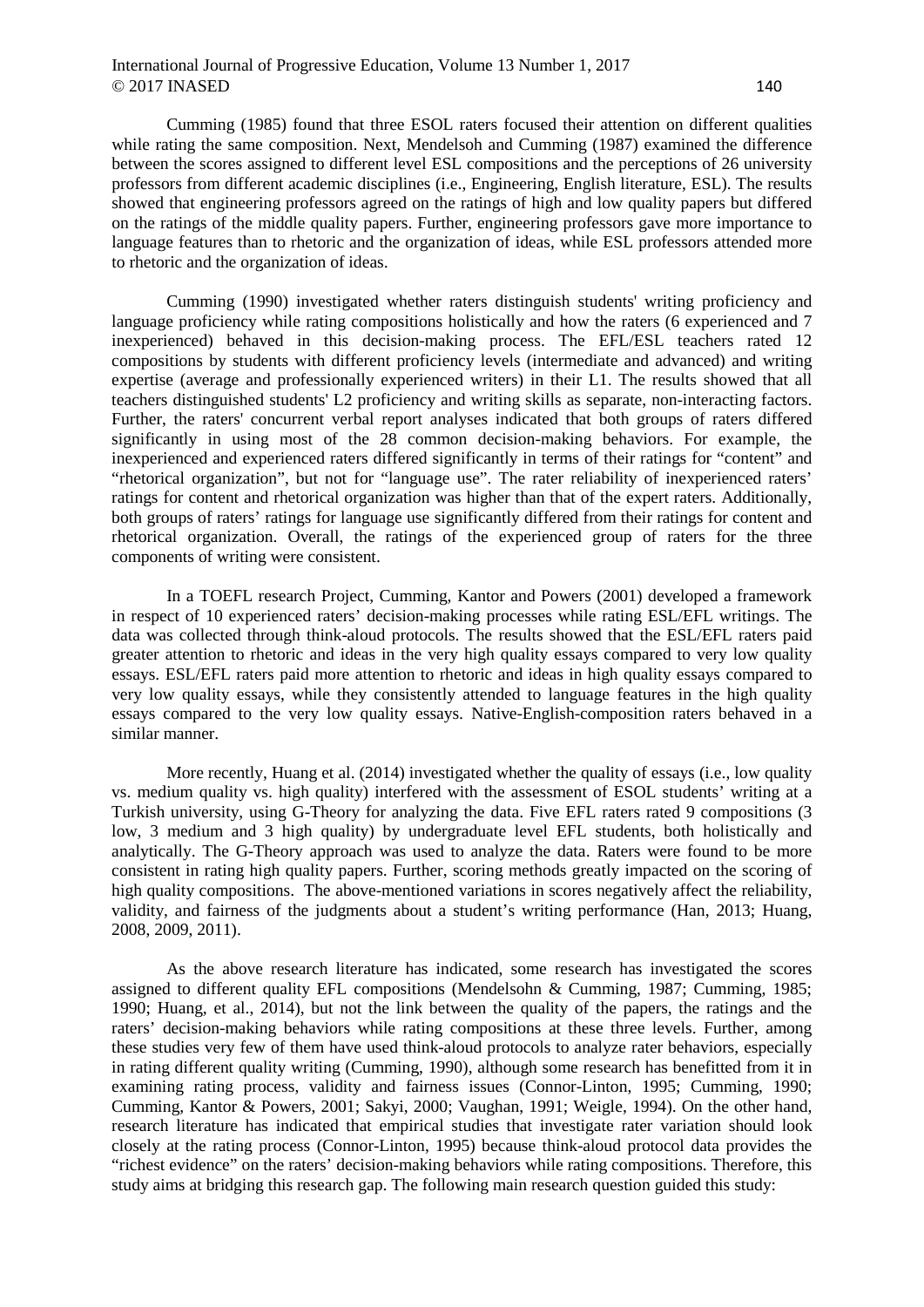# International Journal of Progressive Education, Volume 13 Number 1, 2017  $\odot$  2017 INASED 140

Cumming (1985) found that three ESOL raters focused their attention on different qualities while rating the same composition. Next, Mendelsoh and Cumming (1987) examined the difference between the scores assigned to different level ESL compositions and the perceptions of 26 university professors from different academic disciplines (i.e., Engineering, English literature, ESL). The results showed that engineering professors agreed on the ratings of high and low quality papers but differed on the ratings of the middle quality papers. Further, engineering professors gave more importance to language features than to rhetoric and the organization of ideas, while ESL professors attended more to rhetoric and the organization of ideas.

Cumming (1990) investigated whether raters distinguish students' writing proficiency and language proficiency while rating compositions holistically and how the raters (6 experienced and 7 inexperienced) behaved in this decision-making process. The EFL/ESL teachers rated 12 compositions by students with different proficiency levels (intermediate and advanced) and writing expertise (average and professionally experienced writers) in their L1. The results showed that all teachers distinguished students' L2 proficiency and writing skills as separate, non-interacting factors. Further, the raters' concurrent verbal report analyses indicated that both groups of raters differed significantly in using most of the 28 common decision-making behaviors. For example, the inexperienced and experienced raters differed significantly in terms of their ratings for "content" and "rhetorical organization", but not for "language use". The rater reliability of inexperienced raters' ratings for content and rhetorical organization was higher than that of the expert raters. Additionally, both groups of raters' ratings for language use significantly differed from their ratings for content and rhetorical organization. Overall, the ratings of the experienced group of raters for the three components of writing were consistent.

In a TOEFL research Project, Cumming, Kantor and Powers (2001) developed a framework in respect of 10 experienced raters' decision-making processes while rating ESL/EFL writings. The data was collected through think-aloud protocols. The results showed that the ESL/EFL raters paid greater attention to rhetoric and ideas in the very high quality essays compared to very low quality essays. ESL/EFL raters paid more attention to rhetoric and ideas in high quality essays compared to very low quality essays, while they consistently attended to language features in the high quality essays compared to the very low quality essays. Native-English-composition raters behaved in a similar manner.

More recently, Huang et al. (2014) investigated whether the quality of essays (i.e., low quality vs. medium quality vs. high quality) interfered with the assessment of ESOL students' writing at a Turkish university, using G-Theory for analyzing the data. Five EFL raters rated 9 compositions (3 low, 3 medium and 3 high quality) by undergraduate level EFL students, both holistically and analytically. The G-Theory approach was used to analyze the data. Raters were found to be more consistent in rating high quality papers. Further, scoring methods greatly impacted on the scoring of high quality compositions. The above-mentioned variations in scores negatively affect the reliability, validity, and fairness of the judgments about a student's writing performance (Han, 2013; Huang, 2008, 2009, 2011).

As the above research literature has indicated, some research has investigated the scores assigned to different quality EFL compositions (Mendelsohn & Cumming, 1987; Cumming, 1985; 1990; Huang, et al., 2014), but not the link between the quality of the papers, the ratings and the raters' decision-making behaviors while rating compositions at these three levels. Further, among these studies very few of them have used think-aloud protocols to analyze rater behaviors, especially in rating different quality writing (Cumming, 1990), although some research has benefitted from it in examining rating process, validity and fairness issues (Connor-Linton, 1995; Cumming, 1990; Cumming, Kantor & Powers, 2001; Sakyi, 2000; Vaughan, 1991; Weigle, 1994). On the other hand, research literature has indicated that empirical studies that investigate rater variation should look closely at the rating process (Connor-Linton, 1995) because think-aloud protocol data provides the "richest evidence" on the raters' decision-making behaviors while rating compositions. Therefore, this study aims at bridging this research gap. The following main research question guided this study: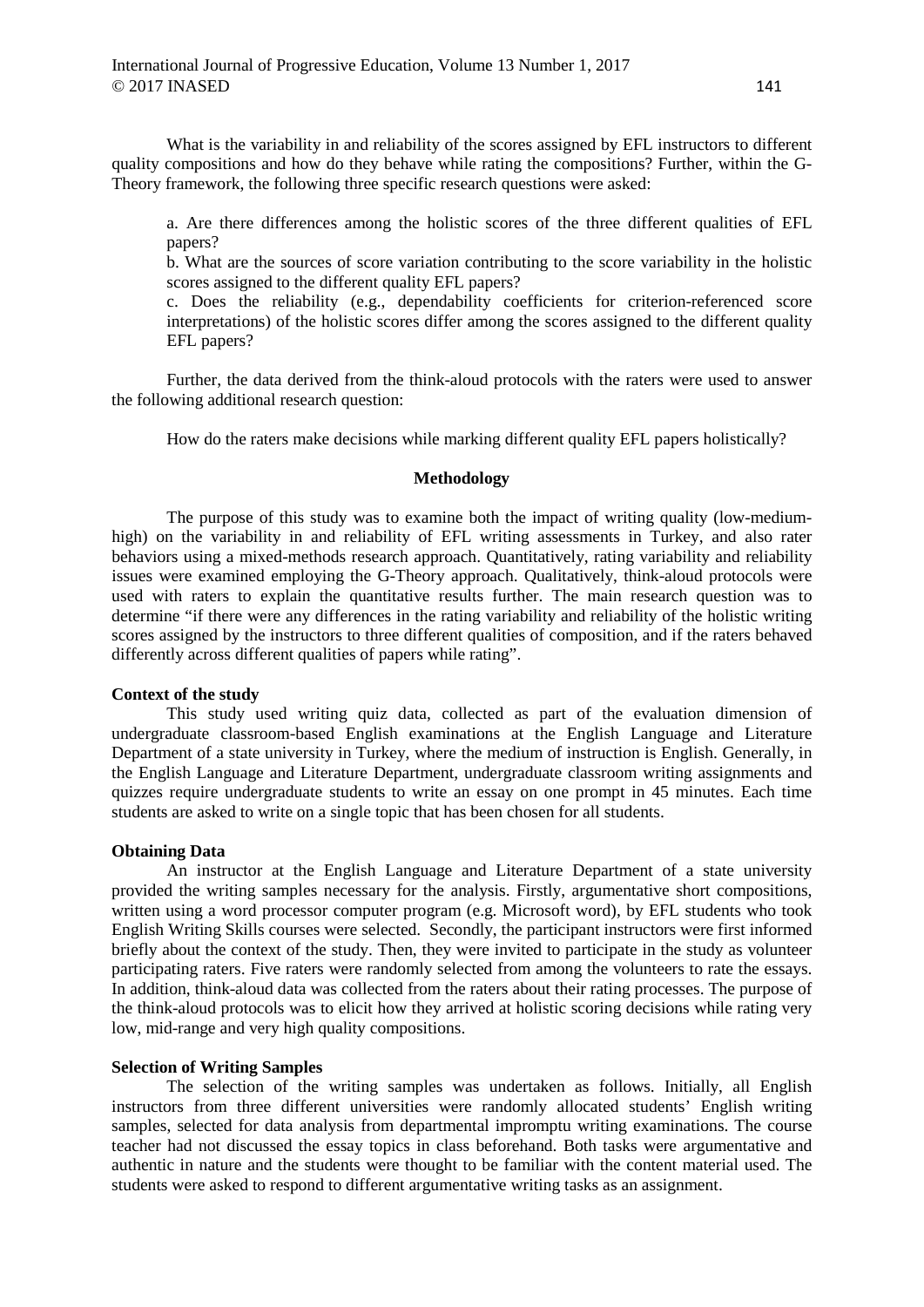What is the variability in and reliability of the scores assigned by EFL instructors to different quality compositions and how do they behave while rating the compositions? Further, within the G-Theory framework, the following three specific research questions were asked:

a. Are there differences among the holistic scores of the three different qualities of EFL papers?

b. What are the sources of score variation contributing to the score variability in the holistic scores assigned to the different quality EFL papers?

c. Does the reliability (e.g., dependability coefficients for criterion-referenced score interpretations) of the holistic scores differ among the scores assigned to the different quality EFL papers?

Further, the data derived from the think-aloud protocols with the raters were used to answer the following additional research question:

How do the raters make decisions while marking different quality EFL papers holistically?

### **Methodology**

The purpose of this study was to examine both the impact of writing quality (low-mediumhigh) on the variability in and reliability of EFL writing assessments in Turkey, and also rater behaviors using a mixed-methods research approach. Quantitatively, rating variability and reliability issues were examined employing the G-Theory approach. Qualitatively, think-aloud protocols were used with raters to explain the quantitative results further. The main research question was to determine "if there were any differences in the rating variability and reliability of the holistic writing scores assigned by the instructors to three different qualities of composition, and if the raters behaved differently across different qualities of papers while rating".

#### **Context of the study**

This study used writing quiz data, collected as part of the evaluation dimension of undergraduate classroom-based English examinations at the English Language and Literature Department of a state university in Turkey, where the medium of instruction is English. Generally, in the English Language and Literature Department, undergraduate classroom writing assignments and quizzes require undergraduate students to write an essay on one prompt in 45 minutes. Each time students are asked to write on a single topic that has been chosen for all students.

## **Obtaining Data**

An instructor at the English Language and Literature Department of a state university provided the writing samples necessary for the analysis. Firstly, argumentative short compositions, written using a word processor computer program (e.g. Microsoft word), by EFL students who took English Writing Skills courses were selected. Secondly, the participant instructors were first informed briefly about the context of the study. Then, they were invited to participate in the study as volunteer participating raters. Five raters were randomly selected from among the volunteers to rate the essays. In addition, think-aloud data was collected from the raters about their rating processes. The purpose of the think-aloud protocols was to elicit how they arrived at holistic scoring decisions while rating very low, mid-range and very high quality compositions.

## **Selection of Writing Samples**

The selection of the writing samples was undertaken as follows. Initially, all English instructors from three different universities were randomly allocated students' English writing samples, selected for data analysis from departmental impromptu writing examinations. The course teacher had not discussed the essay topics in class beforehand. Both tasks were argumentative and authentic in nature and the students were thought to be familiar with the content material used. The students were asked to respond to different argumentative writing tasks as an assignment.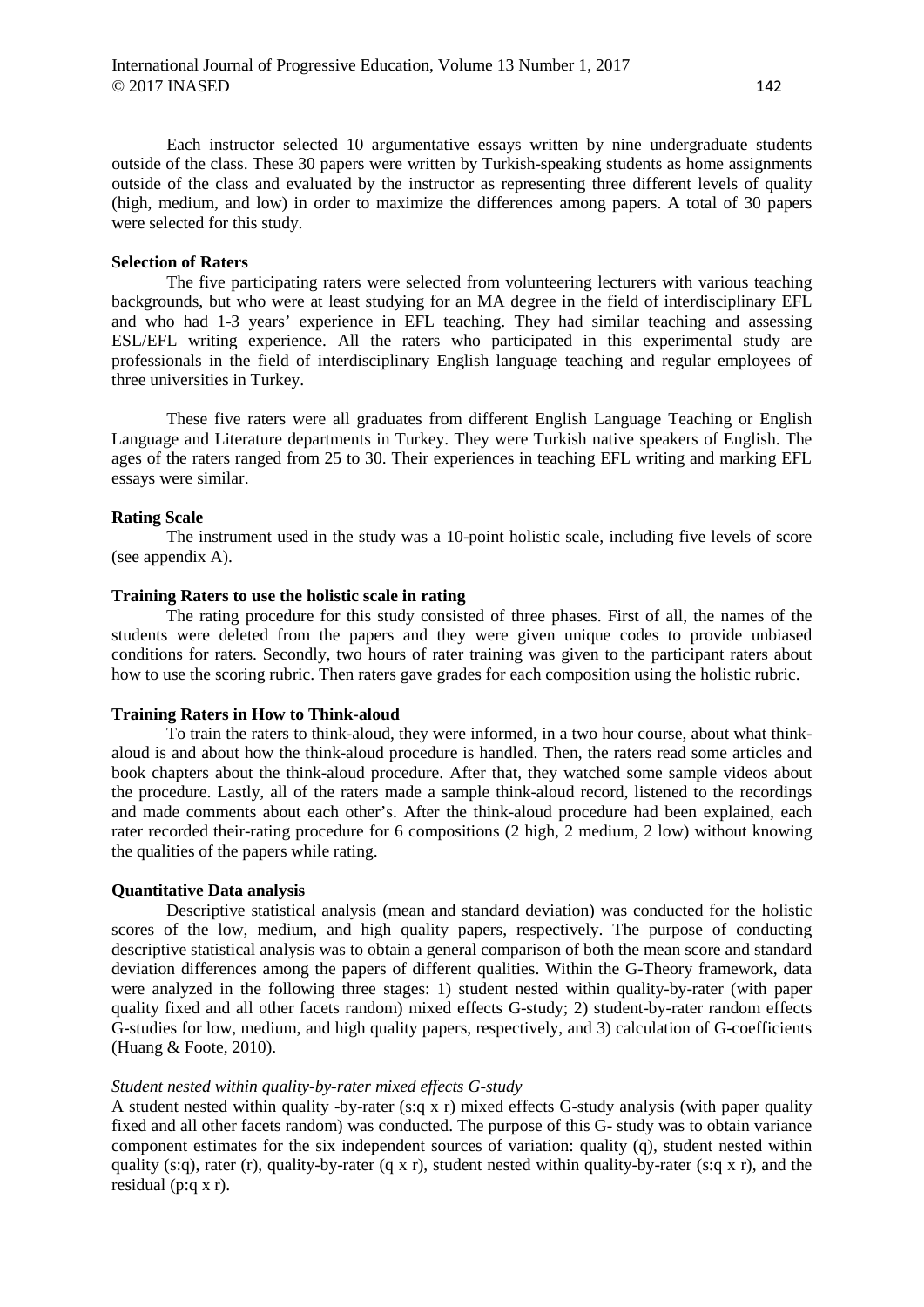Each instructor selected 10 argumentative essays written by nine undergraduate students outside of the class. These 30 papers were written by Turkish-speaking students as home assignments outside of the class and evaluated by the instructor as representing three different levels of quality (high, medium, and low) in order to maximize the differences among papers. A total of 30 papers were selected for this study.

## **Selection of Raters**

The five participating raters were selected from volunteering lecturers with various teaching backgrounds, but who were at least studying for an MA degree in the field of interdisciplinary EFL and who had 1-3 years' experience in EFL teaching. They had similar teaching and assessing ESL/EFL writing experience. All the raters who participated in this experimental study are professionals in the field of interdisciplinary English language teaching and regular employees of three universities in Turkey.

These five raters were all graduates from different English Language Teaching or English Language and Literature departments in Turkey. They were Turkish native speakers of English. The ages of the raters ranged from 25 to 30. Their experiences in teaching EFL writing and marking EFL essays were similar.

## **Rating Scale**

The instrument used in the study was a 10-point holistic scale, including five levels of score (see appendix A).

# **Training Raters to use the holistic scale in rating**

The rating procedure for this study consisted of three phases. First of all, the names of the students were deleted from the papers and they were given unique codes to provide unbiased conditions for raters. Secondly, two hours of rater training was given to the participant raters about how to use the scoring rubric. Then raters gave grades for each composition using the holistic rubric.

## **Training Raters in How to Think-aloud**

To train the raters to think-aloud, they were informed, in a two hour course, about what thinkaloud is and about how the think-aloud procedure is handled. Then, the raters read some articles and book chapters about the think-aloud procedure. After that, they watched some sample videos about the procedure. Lastly, all of the raters made a sample think-aloud record, listened to the recordings and made comments about each other's. After the think-aloud procedure had been explained, each rater recorded their-rating procedure for 6 compositions (2 high, 2 medium, 2 low) without knowing the qualities of the papers while rating.

## **Quantitative Data analysis**

Descriptive statistical analysis (mean and standard deviation) was conducted for the holistic scores of the low, medium, and high quality papers, respectively. The purpose of conducting descriptive statistical analysis was to obtain a general comparison of both the mean score and standard deviation differences among the papers of different qualities. Within the G-Theory framework, data were analyzed in the following three stages: 1) student nested within quality-by-rater (with paper quality fixed and all other facets random) mixed effects G-study; 2) student-by-rater random effects G-studies for low, medium, and high quality papers, respectively, and 3) calculation of G-coefficients (Huang & Foote, 2010).

### *Student nested within quality-by-rater mixed effects G-study*

A student nested within quality -by-rater (s:q x r) mixed effects G-study analysis (with paper quality fixed and all other facets random) was conducted. The purpose of this G- study was to obtain variance component estimates for the six independent sources of variation: quality (q), student nested within quality (s:q), rater (r), quality-by-rater (q x r), student nested within quality-by-rater (s:q x r), and the residual (p:q x r).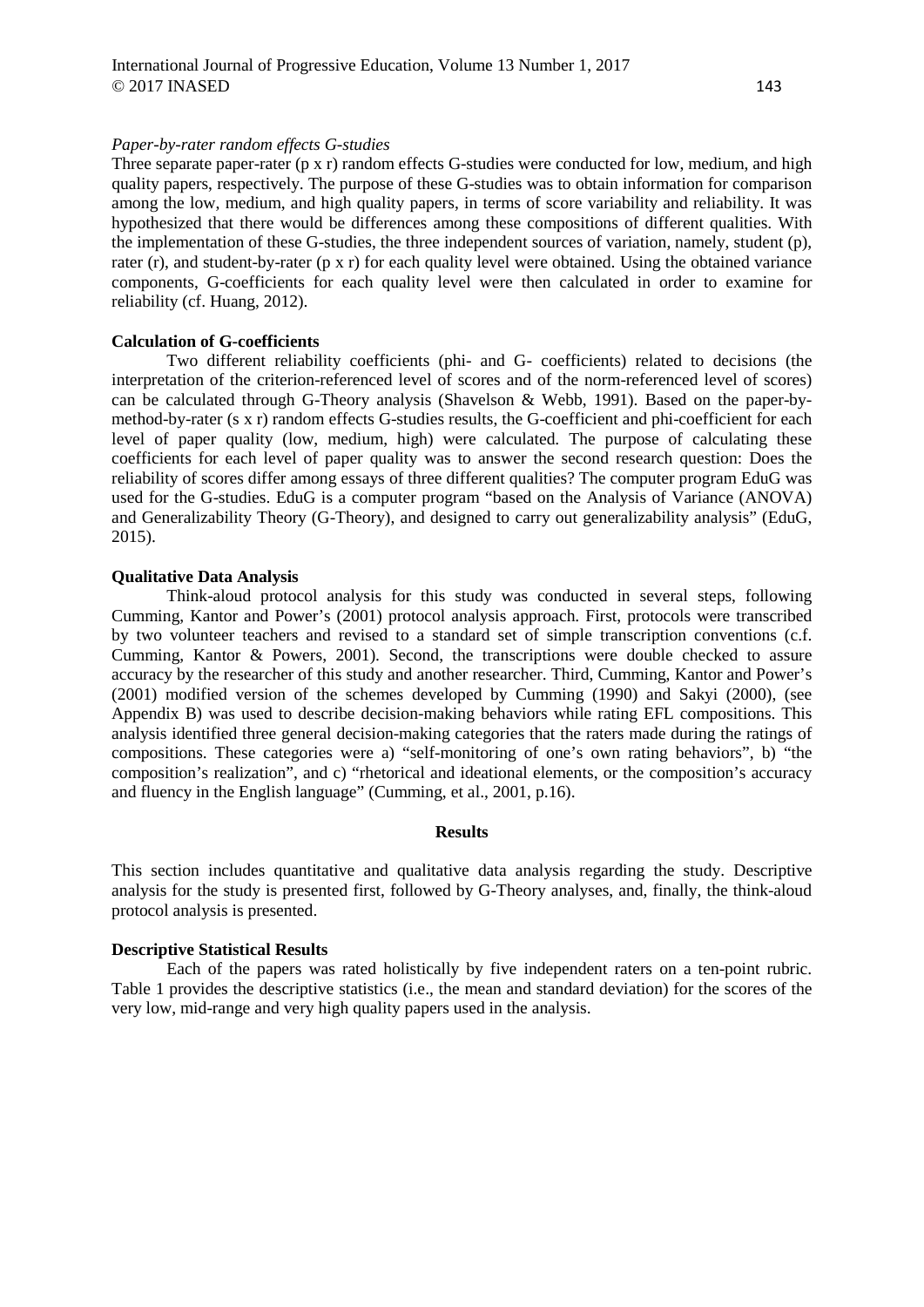Three separate paper-rater (p x r) random effects G-studies were conducted for low, medium, and high quality papers, respectively. The purpose of these G-studies was to obtain information for comparison among the low, medium, and high quality papers, in terms of score variability and reliability. It was hypothesized that there would be differences among these compositions of different qualities. With the implementation of these G-studies, the three independent sources of variation, namely, student (p), rater (r), and student-by-rater (p x r) for each quality level were obtained. Using the obtained variance components, G-coefficients for each quality level were then calculated in order to examine for reliability (cf. Huang, 2012).

## **Calculation of G-coefficients**

Two different reliability coefficients (phi- and G- coefficients) related to decisions (the interpretation of the criterion-referenced level of scores and of the norm-referenced level of scores) can be calculated through G-Theory analysis (Shavelson & Webb, 1991). Based on the paper-bymethod-by-rater (s x r) random effects G-studies results, the G-coefficient and phi-coefficient for each level of paper quality (low, medium, high) were calculated. The purpose of calculating these coefficients for each level of paper quality was to answer the second research question: Does the reliability of scores differ among essays of three different qualities? The computer program EduG was used for the G-studies. EduG is a computer program "based on the Analysis of Variance (ANOVA) and Generalizability Theory (G-Theory), and designed to carry out generalizability analysis" (EduG, 2015).

## **Qualitative Data Analysis**

Think-aloud protocol analysis for this study was conducted in several steps, following Cumming, Kantor and Power's (2001) protocol analysis approach. First, protocols were transcribed by two volunteer teachers and revised to a standard set of simple transcription conventions (c.f. Cumming, Kantor & Powers, 2001). Second, the transcriptions were double checked to assure accuracy by the researcher of this study and another researcher. Third, Cumming, Kantor and Power's (2001) modified version of the schemes developed by Cumming (1990) and Sakyi (2000), (see Appendix B) was used to describe decision-making behaviors while rating EFL compositions. This analysis identified three general decision-making categories that the raters made during the ratings of compositions. These categories were a) "self-monitoring of one's own rating behaviors", b) "the composition's realization", and c) "rhetorical and ideational elements, or the composition's accuracy and fluency in the English language" (Cumming, et al., 2001, p.16).

#### **Results**

This section includes quantitative and qualitative data analysis regarding the study. Descriptive analysis for the study is presented first, followed by G-Theory analyses, and, finally, the think-aloud protocol analysis is presented.

## **Descriptive Statistical Results**

Each of the papers was rated holistically by five independent raters on a ten-point rubric. Table 1 provides the descriptive statistics (i.e., the mean and standard deviation) for the scores of the very low, mid-range and very high quality papers used in the analysis.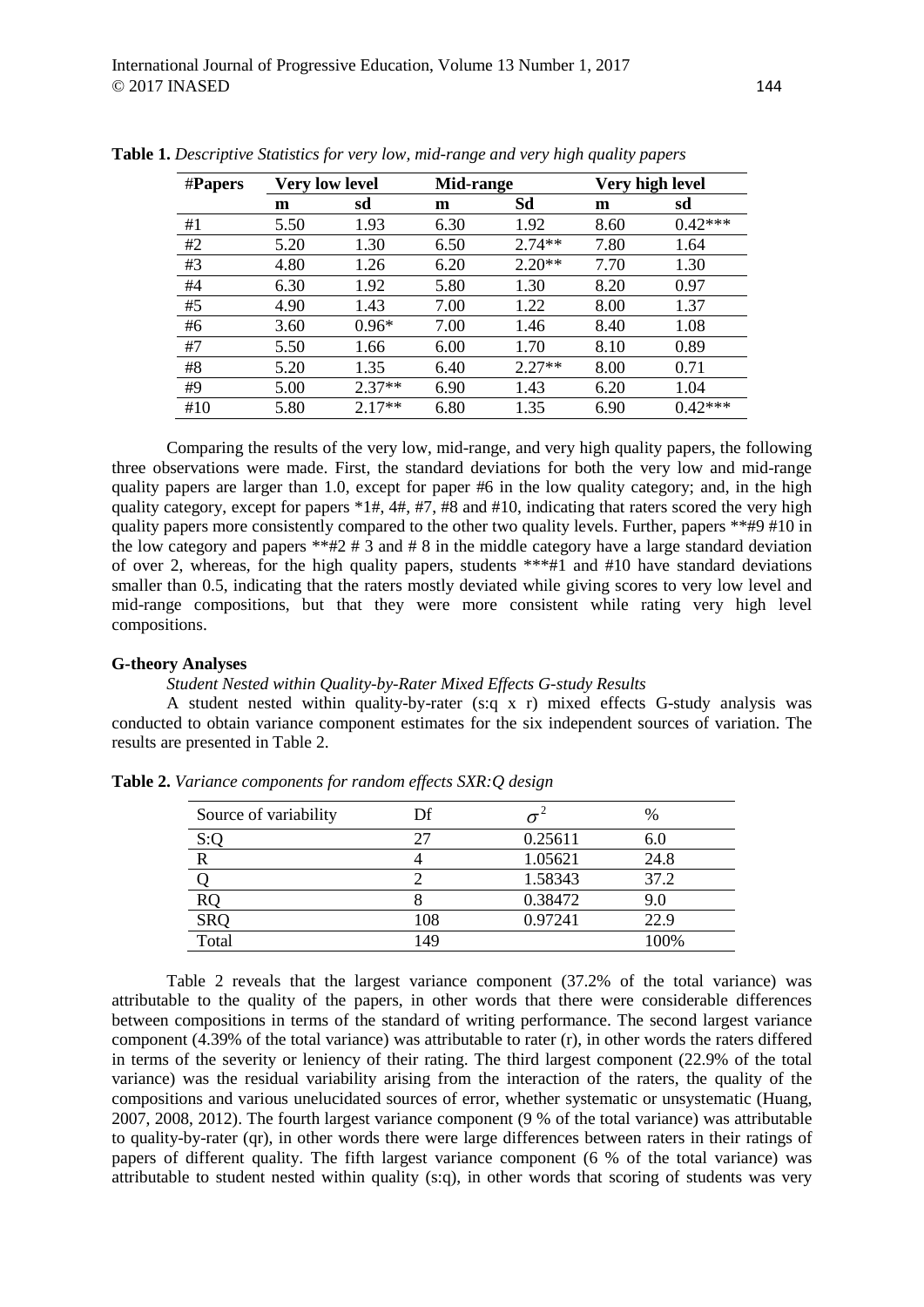| #Papers | <b>Very low level</b> |          | Mid-range |          | Very high level |           |
|---------|-----------------------|----------|-----------|----------|-----------------|-----------|
|         | m                     | sd       | m         | Sd       | m               | sd        |
| #1      | 5.50                  | 1.93     | 6.30      | 1.92     | 8.60            | $0.42***$ |
| #2      | 5.20                  | 1.30     | 6.50      | $2.74**$ | 7.80            | 1.64      |
| #3      | 4.80                  | 1.26     | 6.20      | $2.20**$ | 7.70            | 1.30      |
| #4      | 6.30                  | 1.92     | 5.80      | 1.30     | 8.20            | 0.97      |
| #5      | 4.90                  | 1.43     | 7.00      | 1.22     | 8.00            | 1.37      |
| #6      | 3.60                  | $0.96*$  | 7.00      | 1.46     | 8.40            | 1.08      |
| #7      | 5.50                  | 1.66     | 6.00      | 1.70     | 8.10            | 0.89      |
| #8      | 5.20                  | 1.35     | 6.40      | $2.27**$ | 8.00            | 0.71      |
| #9      | 5.00                  | $2.37**$ | 6.90      | 1.43     | 6.20            | 1.04      |
| #10     | 5.80                  | $2.17**$ | 6.80      | 1.35     | 6.90            | $0.42***$ |

**Table 1.** *Descriptive Statistics for very low, mid-range and very high quality papers*

Comparing the results of the very low, mid-range, and very high quality papers, the following three observations were made. First, the standard deviations for both the very low and mid-range quality papers are larger than 1.0, except for paper  $#6$  in the low quality category; and, in the high quality category, except for papers  $*1\#$ ,  $4\#$ ,  $\#7$ ,  $\#8$  and  $\#10$ , indicating that raters scored the very high quality papers more consistently compared to the other two quality levels. Further, papers \*\*#9 #10 in the low category and papers \*\*#2 # 3 and # 8 in the middle category have a large standard deviation of over 2, whereas, for the high quality papers, students \*\*\*#1 and #10 have standard deviations smaller than 0.5, indicating that the raters mostly deviated while giving scores to very low level and mid-range compositions, but that they were more consistent while rating very high level compositions.

### **G-theory Analyses**

### *Student Nested within Quality-by-Rater Mixed Effects G-study Results*

A student nested within quality-by-rater (s:q x r) mixed effects G-study analysis was conducted to obtain variance component estimates for the six independent sources of variation. The results are presented in Table 2.

| Source of variability | Df  |         | $\%$ |
|-----------------------|-----|---------|------|
| S:Q                   | 27  | 0.25611 | 6.0  |
|                       |     | 1.05621 | 24.8 |
|                       |     | 1.58343 | 37.2 |
| <b>RQ</b>             |     | 0.38472 | 9.0  |
| <b>SRQ</b>            | 108 | 0.97241 | 22.9 |
| Total                 | 149 |         | 100% |

**Table 2.** *Variance components for random effects SXR:Q design*

Table 2 reveals that the largest variance component (37.2% of the total variance) was attributable to the quality of the papers, in other words that there were considerable differences between compositions in terms of the standard of writing performance. The second largest variance component (4.39% of the total variance) was attributable to rater (r), in other words the raters differed in terms of the severity or leniency of their rating. The third largest component (22.9% of the total variance) was the residual variability arising from the interaction of the raters, the quality of the compositions and various unelucidated sources of error, whether systematic or unsystematic (Huang, 2007, 2008, 2012). The fourth largest variance component (9 % of the total variance) was attributable to quality-by-rater (qr), in other words there were large differences between raters in their ratings of papers of different quality. The fifth largest variance component (6 % of the total variance) was attributable to student nested within quality (s:q), in other words that scoring of students was very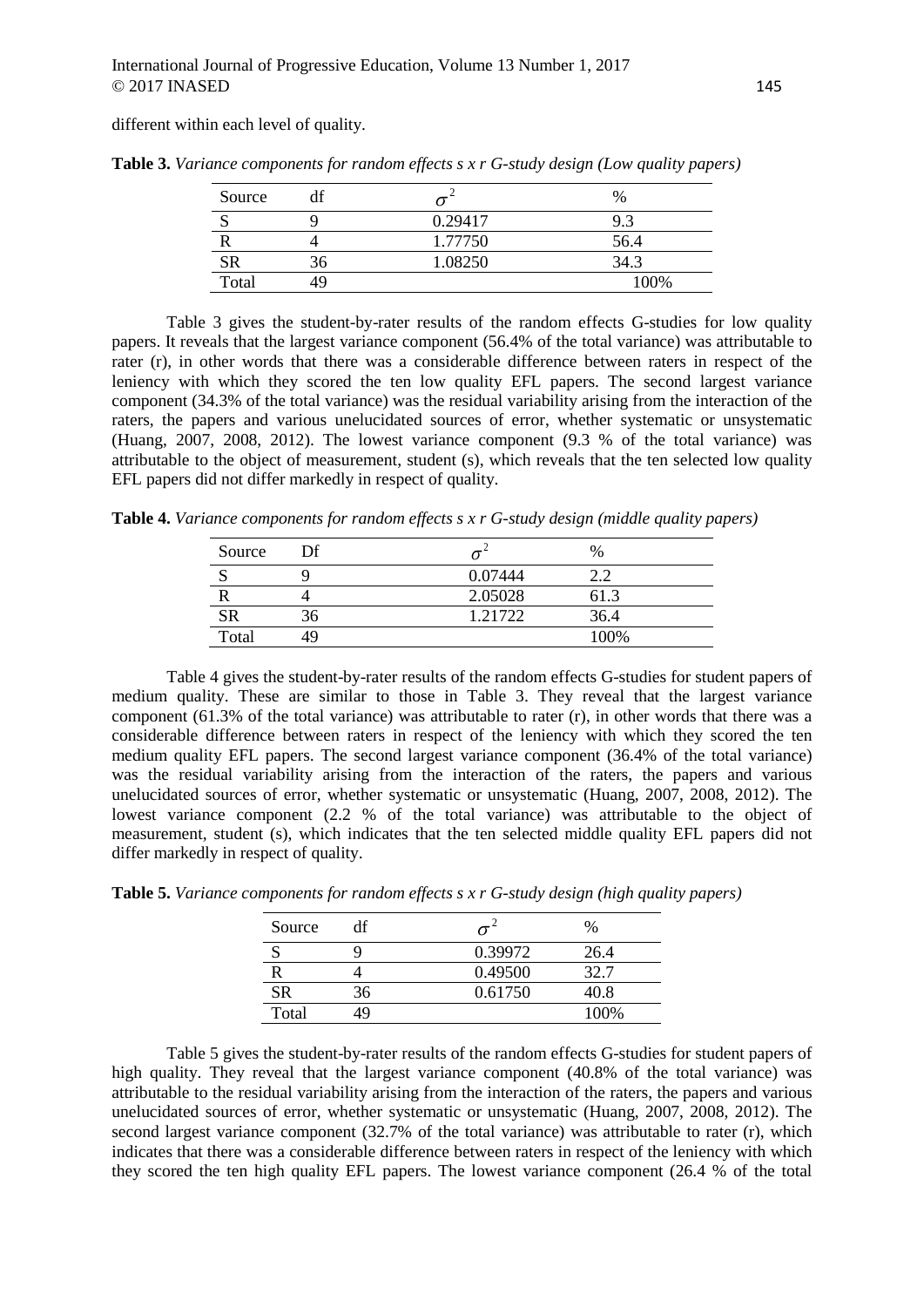different within each level of quality.

| Source    | df |         | %    |
|-----------|----|---------|------|
|           |    | 0.29417 | 9.3  |
|           |    | 1.77750 | 56.4 |
| <b>SR</b> |    | 1.08250 | 34.3 |
| Total     | 49 |         | 100% |

**Table 3.** *Variance components for random effects s x r G-study design (Low quality papers)*

Table 3 gives the student-by-rater results of the random effects G-studies for low quality papers. It reveals that the largest variance component (56.4% of the total variance) was attributable to rater (r), in other words that there was a considerable difference between raters in respect of the leniency with which they scored the ten low quality EFL papers. The second largest variance component (34.3% of the total variance) was the residual variability arising from the interaction of the raters, the papers and various unelucidated sources of error, whether systematic or unsystematic (Huang, 2007, 2008, 2012). The lowest variance component (9.3 % of the total variance) was attributable to the object of measurement, student (s), which reveals that the ten selected low quality EFL papers did not differ markedly in respect of quality.

**Table 4.** *Variance components for random effects s x r G-study design (middle quality papers)*

| Source    | Df  |         | $\%$    |
|-----------|-----|---------|---------|
|           |     | 0.07444 |         |
|           |     | 2.05028 | h I . 3 |
| <b>SR</b> | .30 | 1.21722 | 36.4    |
| Total     |     |         | 100%    |

Table 4 gives the student-by-rater results of the random effects G-studies for student papers of medium quality. These are similar to those in Table 3. They reveal that the largest variance component (61.3% of the total variance) was attributable to rater (r), in other words that there was a considerable difference between raters in respect of the leniency with which they scored the ten medium quality EFL papers. The second largest variance component (36.4% of the total variance) was the residual variability arising from the interaction of the raters, the papers and various unelucidated sources of error, whether systematic or unsystematic (Huang, 2007, 2008, 2012). The lowest variance component (2.2 % of the total variance) was attributable to the object of measurement, student (s), which indicates that the ten selected middle quality EFL papers did not differ markedly in respect of quality.

| Source    | df |         | $\%$ |
|-----------|----|---------|------|
|           |    | 0.39972 | 26.4 |
|           |    | 0.49500 | 32.7 |
| <b>SR</b> | 36 | 0.61750 | 40.8 |
| Total     | 10 |         | 100% |

**Table 5.** *Variance components for random effects s x r G-study design (high quality papers)*

Table 5 gives the student-by-rater results of the random effects G-studies for student papers of high quality. They reveal that the largest variance component (40.8% of the total variance) was attributable to the residual variability arising from the interaction of the raters, the papers and various unelucidated sources of error, whether systematic or unsystematic (Huang, 2007, 2008, 2012). The second largest variance component (32.7% of the total variance) was attributable to rater (r), which indicates that there was a considerable difference between raters in respect of the leniency with which they scored the ten high quality EFL papers. The lowest variance component (26.4 % of the total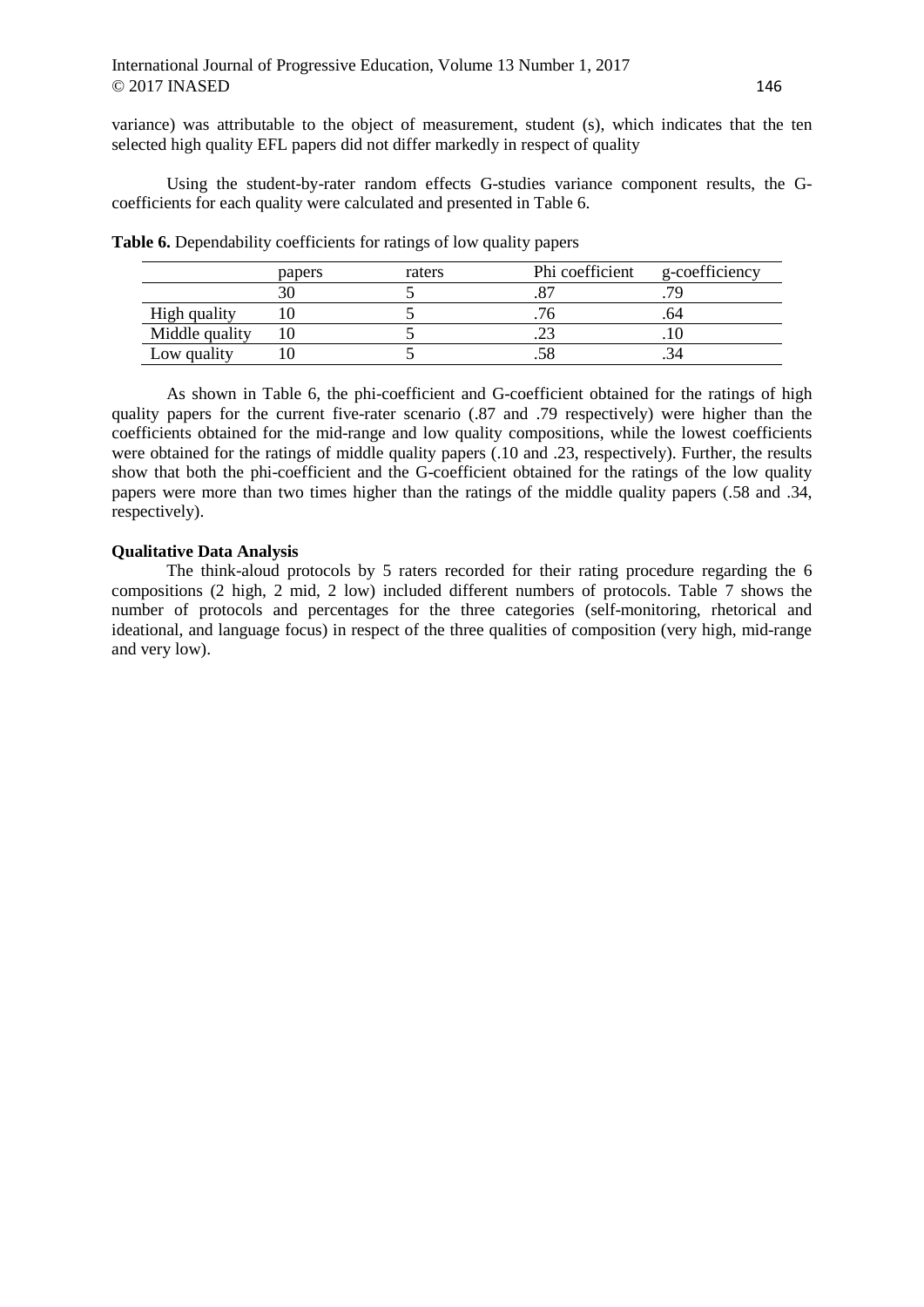variance) was attributable to the object of measurement, student (s), which indicates that the ten selected high quality EFL papers did not differ markedly in respect of quality

Using the student-by-rater random effects G-studies variance component results, the Gcoefficients for each quality were calculated and presented in Table 6.

|                | papers | raters | Phi coefficient | g-coefficiency |
|----------------|--------|--------|-----------------|----------------|
|                |        |        |                 |                |
| High quality   |        |        |                 |                |
| Middle quality |        |        |                 |                |
| Low quality    |        |        |                 |                |

**Table 6.** Dependability coefficients for ratings of low quality papers

As shown in Table 6, the phi-coefficient and G-coefficient obtained for the ratings of high quality papers for the current five-rater scenario (.87 and .79 respectively) were higher than the coefficients obtained for the mid-range and low quality compositions, while the lowest coefficients were obtained for the ratings of middle quality papers (.10 and .23, respectively). Further, the results show that both the phi-coefficient and the G-coefficient obtained for the ratings of the low quality papers were more than two times higher than the ratings of the middle quality papers (.58 and .34, respectively).

# **Qualitative Data Analysis**

The think-aloud protocols by 5 raters recorded for their rating procedure regarding the 6 compositions (2 high, 2 mid, 2 low) included different numbers of protocols. Table 7 shows the number of protocols and percentages for the three categories (self-monitoring, rhetorical and ideational, and language focus) in respect of the three qualities of composition (very high, mid-range and very low).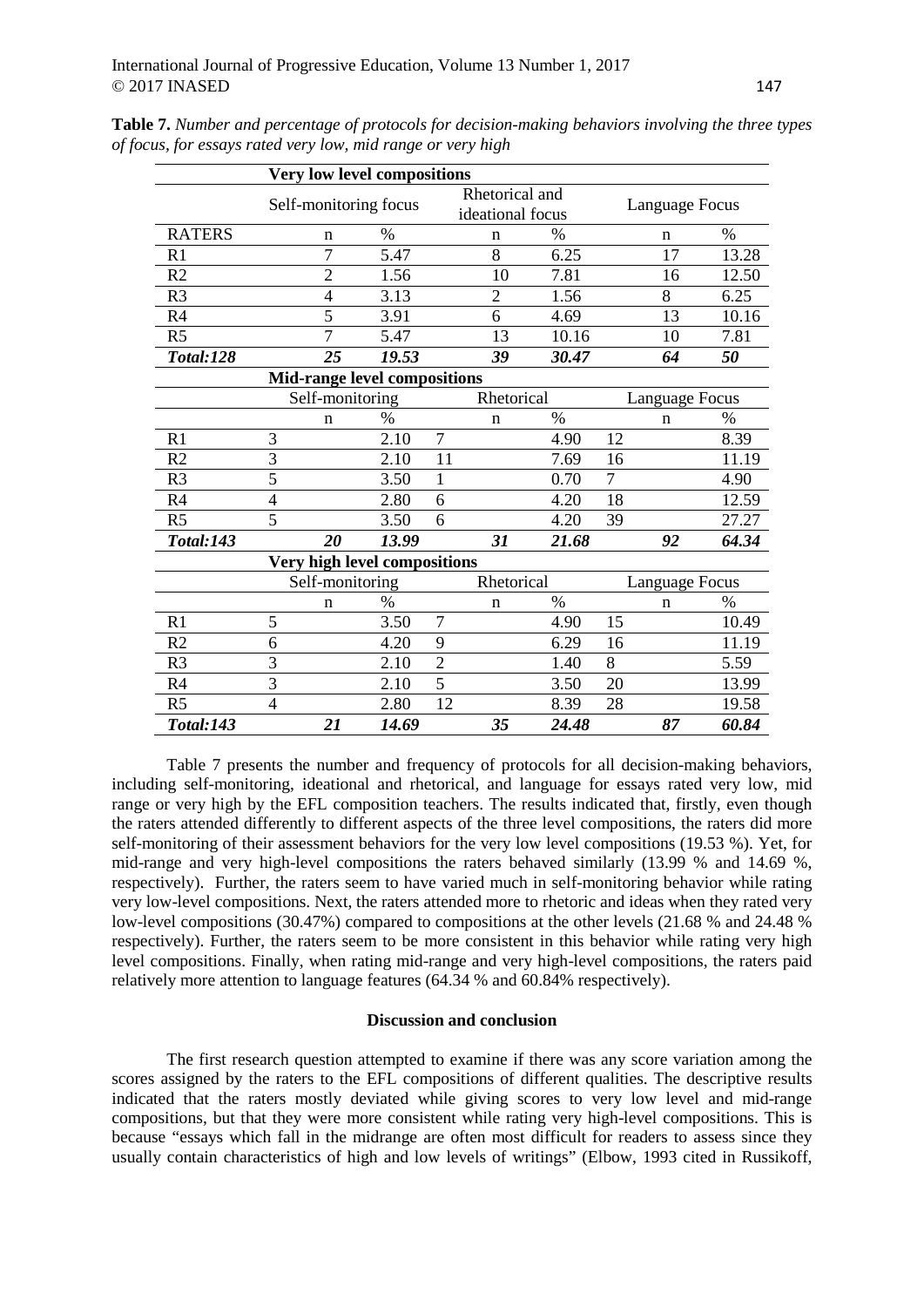|                  |                |                       | <b>Very low level compositions</b>  |                |                                    |               |    |                       |       |
|------------------|----------------|-----------------------|-------------------------------------|----------------|------------------------------------|---------------|----|-----------------------|-------|
|                  |                | Self-monitoring focus |                                     |                | Rhetorical and<br>ideational focus |               |    | Language Focus        |       |
| <b>RATERS</b>    |                | n                     | $\%$                                |                | n                                  | $\frac{0}{0}$ |    | n                     | $\%$  |
| R1               |                | $\overline{7}$        | 5.47                                |                | 8                                  | 6.25          |    | 17                    | 13.28 |
| R2               |                | $\overline{2}$        | 1.56                                |                | 10                                 | 7.81          |    | 16                    | 12.50 |
| R <sub>3</sub>   |                | 4                     | 3.13                                |                | $\overline{2}$                     | 1.56          |    | 8                     | 6.25  |
| R4               |                | 5                     | 3.91                                |                | 6                                  | 4.69          |    | 13                    | 10.16 |
| R <sub>5</sub>   |                | $\overline{7}$        | 5.47                                |                | 13                                 | 10.16         |    | 10                    | 7.81  |
| <b>Total:128</b> |                | 25                    | 19.53                               |                | 39                                 | 30.47         |    | 64                    | 50    |
|                  |                |                       | <b>Mid-range level compositions</b> |                |                                    |               |    |                       |       |
|                  |                | Self-monitoring       |                                     |                | Rhetorical                         |               |    | <b>Language Focus</b> |       |
|                  |                | n                     | %                                   |                | n                                  | $\%$          |    | $\mathbf n$           | $\%$  |
| R1               | 3              |                       | 2.10                                | $\overline{7}$ |                                    | 4.90          | 12 |                       | 8.39  |
| R <sub>2</sub>   | 3              |                       | 2.10                                | 11             |                                    | 7.69          | 16 |                       | 11.19 |
| R <sub>3</sub>   | $\overline{5}$ |                       | 3.50                                | 1              |                                    | 0.70          | 7  |                       | 4.90  |
| R4               | $\overline{4}$ |                       | 2.80                                | 6              |                                    | 4.20          | 18 |                       | 12.59 |
| R <sub>5</sub>   | 5              |                       | 3.50                                | 6              |                                    | 4.20          | 39 |                       | 27.27 |
| <b>Total:143</b> |                | 20                    | 13.99                               |                | 31                                 | 21.68         |    | 92                    | 64.34 |
|                  |                |                       | Very high level compositions        |                |                                    |               |    |                       |       |
|                  |                | Self-monitoring       |                                     |                | Rhetorical                         |               |    | Language Focus        |       |
|                  |                | $\mathbf n$           | $\%$                                |                | n                                  | $\%$          |    | $\mathbf n$           | $\%$  |
| R1               | 5              |                       | 3.50                                | 7              |                                    | 4.90          | 15 |                       | 10.49 |
| R2               | 6              |                       | 4.20                                | 9              |                                    | 6.29          | 16 |                       | 11.19 |
| R <sub>3</sub>   | 3              |                       | 2.10                                | $\overline{2}$ |                                    | 1.40          | 8  |                       | 5.59  |
| R4               | 3              |                       | 2.10                                | 5              |                                    | 3.50          | 20 |                       | 13.99 |
| R <sub>5</sub>   | $\overline{4}$ |                       | 2.80                                | 12             |                                    | 8.39          | 28 |                       | 19.58 |
| <b>Total:143</b> |                | 21                    | 14.69                               |                | 35                                 | 24.48         |    | 87                    | 60.84 |

**Table 7.** *Number and percentage of protocols for decision-making behaviors involving the three types of focus, for essays rated very low, mid range or very high*

Table 7 presents the number and frequency of protocols for all decision-making behaviors, including self-monitoring, ideational and rhetorical, and language for essays rated very low, mid range or very high by the EFL composition teachers. The results indicated that, firstly, even though the raters attended differently to different aspects of the three level compositions, the raters did more self-monitoring of their assessment behaviors for the very low level compositions (19.53 %). Yet, for mid-range and very high-level compositions the raters behaved similarly (13.99 % and 14.69 %, respectively). Further, the raters seem to have varied much in self-monitoring behavior while rating very low-level compositions. Next, the raters attended more to rhetoric and ideas when they rated very low-level compositions (30.47%) compared to compositions at the other levels (21.68 % and 24.48 % respectively). Further, the raters seem to be more consistent in this behavior while rating very high level compositions. Finally, when rating mid-range and very high-level compositions, the raters paid relatively more attention to language features (64.34 % and 60.84% respectively).

### **Discussion and conclusion**

The first research question attempted to examine if there was any score variation among the scores assigned by the raters to the EFL compositions of different qualities. The descriptive results indicated that the raters mostly deviated while giving scores to very low level and mid-range compositions, but that they were more consistent while rating very high-level compositions. This is because "essays which fall in the midrange are often most difficult for readers to assess since they usually contain characteristics of high and low levels of writings" (Elbow, 1993 cited in Russikoff,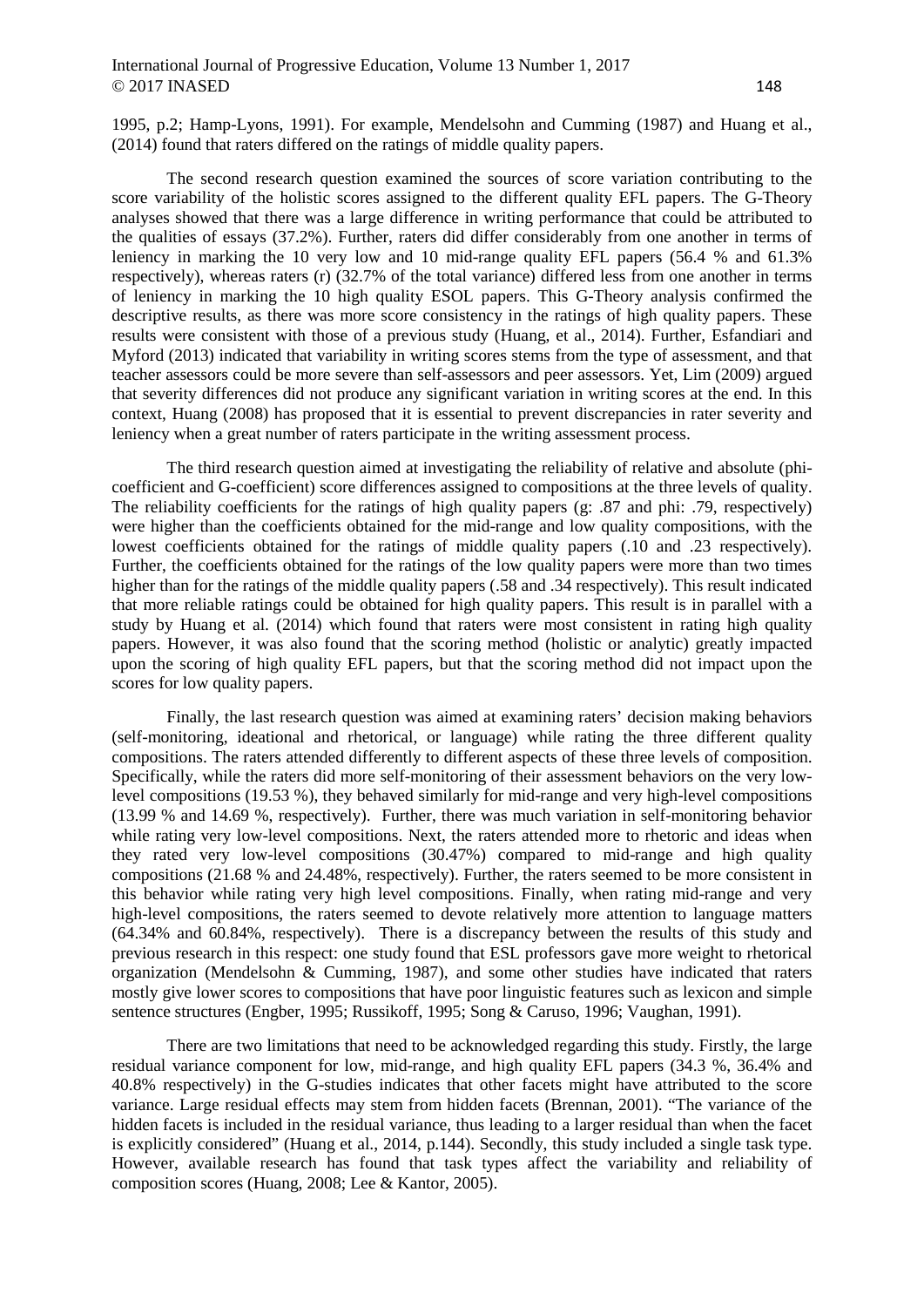1995, p.2; Hamp-Lyons, 1991). For example, Mendelsohn and Cumming (1987) and Huang et al., (2014) found that raters differed on the ratings of middle quality papers.

The second research question examined the sources of score variation contributing to the score variability of the holistic scores assigned to the different quality EFL papers. The G-Theory analyses showed that there was a large difference in writing performance that could be attributed to the qualities of essays (37.2%). Further, raters did differ considerably from one another in terms of leniency in marking the 10 very low and 10 mid-range quality EFL papers (56.4 % and 61.3% respectively), whereas raters (r) (32.7% of the total variance) differed less from one another in terms of leniency in marking the 10 high quality ESOL papers. This G-Theory analysis confirmed the descriptive results, as there was more score consistency in the ratings of high quality papers. These results were consistent with those of a previous study (Huang, et al., 2014). Further, Esfandiari and Myford (2013) indicated that variability in writing scores stems from the type of assessment, and that teacher assessors could be more severe than self-assessors and peer assessors. Yet, Lim (2009) argued that severity differences did not produce any significant variation in writing scores at the end. In this context, Huang (2008) has proposed that it is essential to prevent discrepancies in rater severity and leniency when a great number of raters participate in the writing assessment process.

The third research question aimed at investigating the reliability of relative and absolute (phicoefficient and G-coefficient) score differences assigned to compositions at the three levels of quality. The reliability coefficients for the ratings of high quality papers (g: .87 and phi: .79, respectively) were higher than the coefficients obtained for the mid-range and low quality compositions, with the lowest coefficients obtained for the ratings of middle quality papers (.10 and .23 respectively). Further, the coefficients obtained for the ratings of the low quality papers were more than two times higher than for the ratings of the middle quality papers (.58 and .34 respectively). This result indicated that more reliable ratings could be obtained for high quality papers. This result is in parallel with a study by Huang et al. (2014) which found that raters were most consistent in rating high quality papers. However, it was also found that the scoring method (holistic or analytic) greatly impacted upon the scoring of high quality EFL papers, but that the scoring method did not impact upon the scores for low quality papers.

Finally, the last research question was aimed at examining raters' decision making behaviors (self-monitoring, ideational and rhetorical, or language) while rating the three different quality compositions. The raters attended differently to different aspects of these three levels of composition. Specifically, while the raters did more self-monitoring of their assessment behaviors on the very lowlevel compositions (19.53 %), they behaved similarly for mid-range and very high-level compositions (13.99 % and 14.69 %, respectively). Further, there was much variation in self-monitoring behavior while rating very low-level compositions. Next, the raters attended more to rhetoric and ideas when they rated very low-level compositions (30.47%) compared to mid-range and high quality compositions (21.68 % and 24.48%, respectively). Further, the raters seemed to be more consistent in this behavior while rating very high level compositions. Finally, when rating mid-range and very high-level compositions, the raters seemed to devote relatively more attention to language matters (64.34% and 60.84%, respectively). There is a discrepancy between the results of this study and previous research in this respect: one study found that ESL professors gave more weight to rhetorical organization (Mendelsohn & Cumming, 1987), and some other studies have indicated that raters mostly give lower scores to compositions that have poor linguistic features such as lexicon and simple sentence structures (Engber, 1995; Russikoff, 1995; Song & Caruso, 1996; Vaughan, 1991).

There are two limitations that need to be acknowledged regarding this study. Firstly, the large residual variance component for low, mid-range, and high quality EFL papers (34.3 %, 36.4% and 40.8% respectively) in the G-studies indicates that other facets might have attributed to the score variance. Large residual effects may stem from hidden facets (Brennan, 2001). "The variance of the hidden facets is included in the residual variance, thus leading to a larger residual than when the facet is explicitly considered" (Huang et al., 2014, p.144). Secondly, this study included a single task type. However, available research has found that task types affect the variability and reliability of composition scores (Huang, 2008; Lee & Kantor, 2005).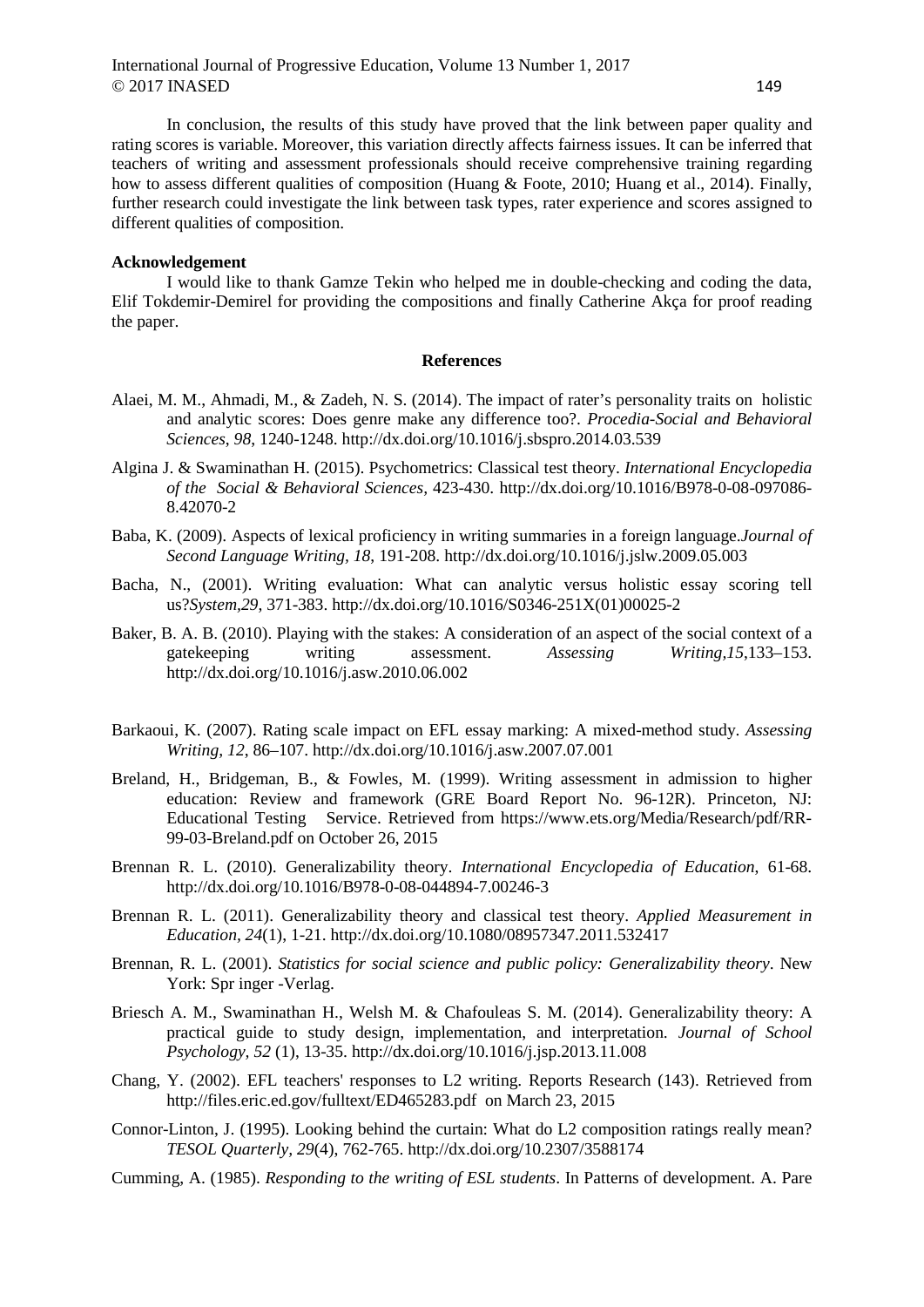In conclusion, the results of this study have proved that the link between paper quality and rating scores is variable. Moreover, this variation directly affects fairness issues. It can be inferred that teachers of writing and assessment professionals should receive comprehensive training regarding how to assess different qualities of composition (Huang & Foote, 2010; Huang et al., 2014). Finally, further research could investigate the link between task types, rater experience and scores assigned to different qualities of composition.

## **Acknowledgement**

I would like to thank Gamze Tekin who helped me in double-checking and coding the data, Elif Tokdemir-Demirel for providing the compositions and finally Catherine Akça for proof reading the paper.

#### **References**

- Alaei, M. M., Ahmadi, M., & Zadeh, N. S. (2014). The impact of rater's personality traits on holistic and analytic scores: Does genre make any difference too?. *Procedia-Social and Behavioral Sciences*, *98*, 1240-1248. http://dx.doi.org/10.1016/j.sbspro.2014.03.539
- Algina J. & Swaminathan H. (2015). Psychometrics: Classical test theory. *International Encyclopedia of the Social & Behavioral Sciences,* 423-430. http://dx.doi.org/10.1016/B978-0-08-097086- 8.42070-2
- Baba, K. (2009). Aspects of lexical proficiency in writing summaries in a foreign language.*Journal of Second Language Writing, 18*, 191-208. http://dx.doi.org/10.1016/j.jslw.2009.05.003
- Bacha, N., (2001). Writing evaluation: What can analytic versus holistic essay scoring tell us?*System,29*, 371-383. http://dx.doi.org/10.1016/S0346-251X(01)00025-2
- Baker, B. A. B. (2010). Playing with the stakes: A consideration of an aspect of the social context of a gatekeeping writing assessment. *Assessing Writing,15*,133–153. http://dx.doi.org/10.1016/j.asw.2010.06.002
- Barkaoui, K. (2007). Rating scale impact on EFL essay marking: A mixed-method study. *Assessing Writing, 12*, 86–107. http://dx.doi.org/10.1016/j.asw.2007.07.001
- Breland, H., Bridgeman, B., & Fowles, M. (1999). Writing assessment in admission to higher education: Review and framework (GRE Board Report No. 96-12R). Princeton, NJ: Educational Testing Service. Retrieved from https://www.ets.org/Media/Research/pdf/RR-99-03-Breland.pdf on October 26, 2015
- Brennan R. L. (2010). Generalizability theory. *International Encyclopedia of Education*, 61-68. http://dx.doi.org/10.1016/B978-0-08-044894-7.00246-3
- Brennan R. L. (2011). Generalizability theory and classical test theory. *Applied Measurement in Education, 24*(1), 1-21. http://dx.doi.org/10.1080/08957347.2011.532417
- Brennan, R. L. (2001). *Statistics for social science and public policy: Generalizability theory*. New York: Spr inger -Verlag.
- Briesch A. M., Swaminathan H., Welsh M. & Chafouleas S. M. (2014). Generalizability theory: A practical guide to study design, implementation, and interpretation. *Journal of School Psychology, 52* (1), 13-35. http://dx.doi.org/10.1016/j.jsp.2013.11.008
- Chang, Y. (2002). EFL teachers' responses to L2 writing. Reports Research (143). Retrieved from http://files.eric.ed.gov/fulltext/ED465283.pdf on March 23, 2015
- Connor-Linton, J. (1995). Looking behind the curtain: What do L2 composition ratings really mean? *TESOL Quarterly, 29*(4), 762-765. http://dx.doi.org/10.2307/3588174
- Cumming, A. (1985). *Responding to the writing of ESL students*. In Patterns of development. A. Pare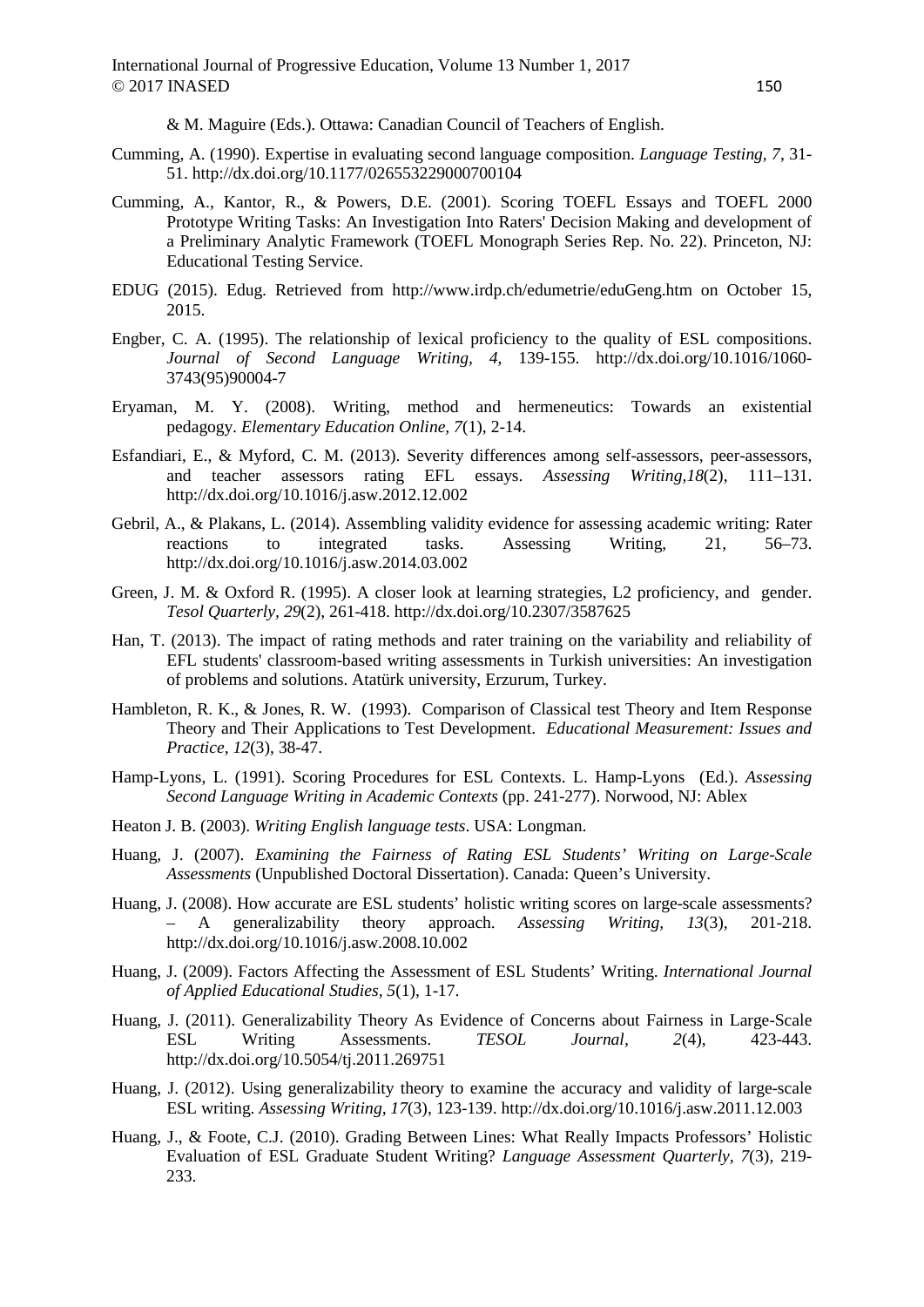& M. Maguire (Eds.). Ottawa: Canadian Council of Teachers of English.

- Cumming, A. (1990). Expertise in evaluating second language composition. *Language Testing, 7*, 31- 51. http://dx.doi.org/10.1177/026553229000700104
- Cumming, A., Kantor, R., & Powers, D.E. (2001). Scoring TOEFL Essays and TOEFL 2000 Prototype Writing Tasks: An Investigation Into Raters' Decision Making and development of a Preliminary Analytic Framework (TOEFL Monograph Series Rep. No. 22). Princeton, NJ: Educational Testing Service.
- EDUG (2015). Edug. Retrieved from http://www.irdp.ch/edumetrie/eduGeng.htm on October 15, 2015.
- Engber, C. A. (1995). The relationship of lexical proficiency to the quality of ESL compositions. *Journal of Second Language Writing, 4*, 139-155. http://dx.doi.org/10.1016/1060- 3743(95)90004-7
- Eryaman, M. Y. (2008). Writing, method and hermeneutics: Towards an existential pedagogy. *Elementary Education Online, 7*(1), 2-14.
- Esfandiari, E., & Myford, C. M. (2013). Severity differences among self-assessors, peer-assessors, and teacher assessors rating EFL essays. *Assessing Writing,18*(2), 111–131. http://dx.doi.org/10.1016/j.asw.2012.12.002
- Gebril, A., & Plakans, L. (2014). Assembling validity evidence for assessing academic writing: Rater reactions to integrated tasks. Assessing Writing, 21, 56–73. http://dx.doi.org/10.1016/j.asw.2014.03.002
- Green, J. M. & Oxford R. (1995). A closer look at learning strategies, L2 proficiency, and gender. *Tesol Quarterly, 29*(2), 261-418. http://dx.doi.org/10.2307/3587625
- Han, T. (2013). The impact of rating methods and rater training on the variability and reliability of EFL students' classroom-based writing assessments in Turkish universities: An investigation of problems and solutions. Atatürk university, Erzurum, Turkey.
- Hambleton, R. K., & Jones, R. W. (1993). Comparison of Classical test Theory and Item Response Theory and Their Applications to Test Development. *Educational Measurement: Issues and Practice, 12*(3), 38-47.
- Hamp-Lyons, L. (1991). Scoring Procedures for ESL Contexts. L. Hamp-Lyons (Ed.). *Assessing Second Language Writing in Academic Contexts* (pp. 241-277). Norwood, NJ: Ablex
- Heaton J. B. (2003). *Writing English language tests*. USA: Longman.
- Huang, J. (2007). *Examining the Fairness of Rating ESL Students' Writing on Large-Scale Assessments* (Unpublished Doctoral Dissertation). Canada: Queen's University.
- Huang, J. (2008). How accurate are ESL students' holistic writing scores on large-scale assessments? – A generalizability theory approach. *Assessing Writing, 13*(3), 201-218. http://dx.doi.org/10.1016/j.asw.2008.10.002
- Huang, J. (2009). Factors Affecting the Assessment of ESL Students' Writing. *International Journal of Applied Educational Studies, 5*(1), 1-17.
- Huang, J. (2011). Generalizability Theory As Evidence of Concerns about Fairness in Large-Scale ESL Writing Assessments. *TESOL Journal, 2*(4), 423-443. http://dx.doi.org/10.5054/tj.2011.269751
- Huang, J. (2012). Using generalizability theory to examine the accuracy and validity of large-scale ESL writing. *Assessing Writing, 17*(3), 123-139. http://dx.doi.org/10.1016/j.asw.2011.12.003
- Huang, J., & Foote, C.J. (2010). Grading Between Lines: What Really Impacts Professors' Holistic Evaluation of ESL Graduate Student Writing? *Language Assessment Quarterly, 7*(3)*,* 219- 233.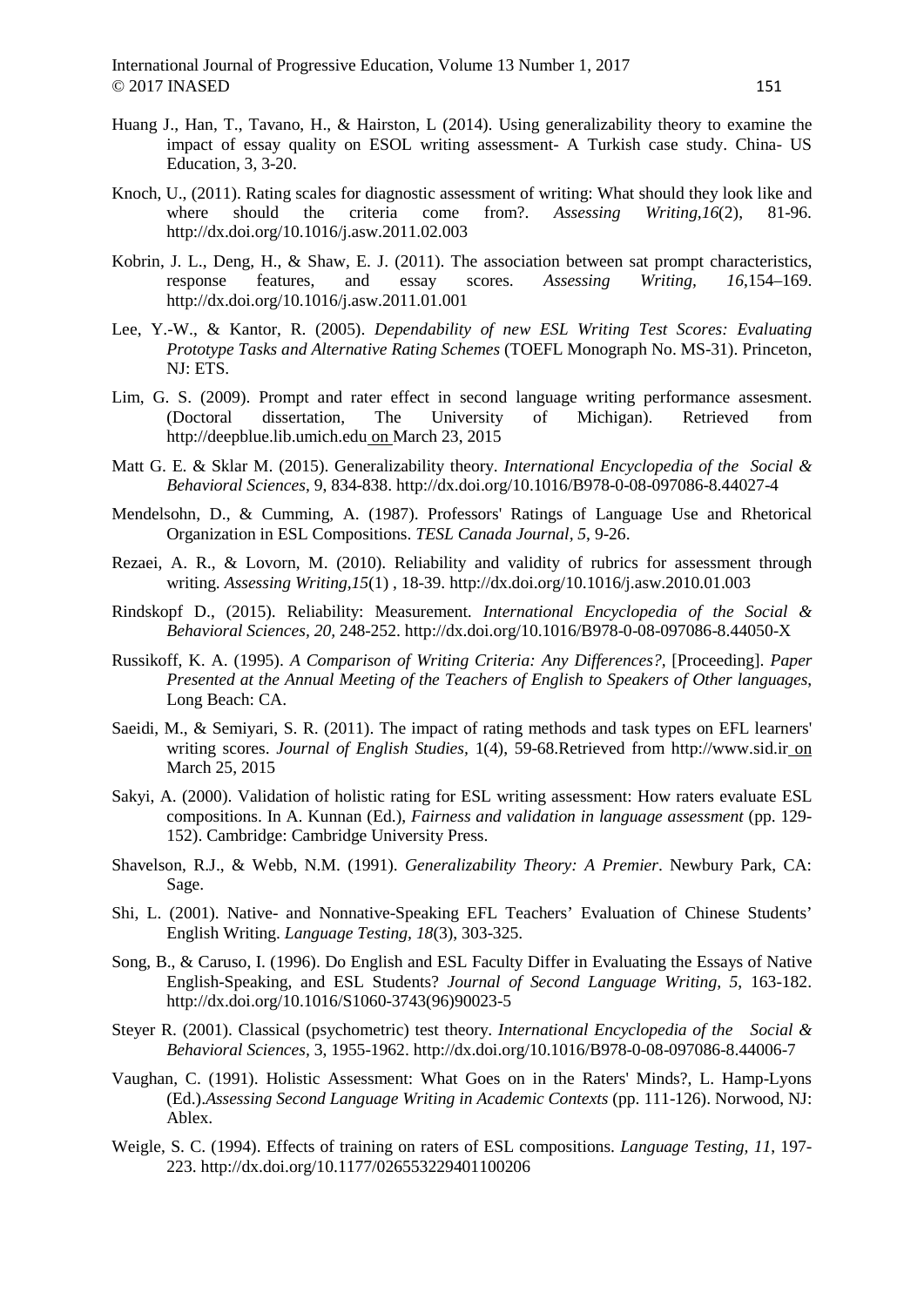- Huang J., Han, T., Tavano, H., & Hairston, L (2014). Using generalizability theory to examine the impact of essay quality on ESOL writing assessment- A Turkish case study. China- US Education, 3, 3-20.
- Knoch, U., (2011). Rating scales for diagnostic assessment of writing: What should they look like and where should the criteria come from?. *Assessing Writing,16*(2), 81-96. http://dx.doi.org/10.1016/j.asw.2011.02.003
- Kobrin, J. L., Deng, H., & Shaw, E. J. (2011). The association between sat prompt characteristics, response features, and essay scores. *Assessing Writing, 16*,154–169. http://dx.doi.org/10.1016/j.asw.2011.01.001
- Lee, Y.-W., & Kantor, R. (2005). *Dependability of new ESL Writing Test Scores: Evaluating Prototype Tasks and Alternative Rating Schemes* (TOEFL Monograph No. MS-31). Princeton, NJ: ETS.
- Lim, G. S. (2009). Prompt and rater effect in second language writing performance assesment. (Doctoral dissertation, The University of Michigan). Retrieved from http://deepblue.lib.umich.edu on March 23, 2015
- Matt G. E. & Sklar M. (2015). Generalizability theory. *International Encyclopedia of the Social & Behavioral Sciences*, 9, 834-838. http://dx.doi.org/10.1016/B978-0-08-097086-8.44027-4
- Mendelsohn, D., & Cumming, A. (1987). Professors' Ratings of Language Use and Rhetorical Organization in ESL Compositions. *TESL Canada Journal, 5*, 9-26.
- Rezaei, A. R., & Lovorn, M. (2010). Reliability and validity of rubrics for assessment through writing. *Assessing Writing,15*(1) , 18-39. http://dx.doi.org/10.1016/j.asw.2010.01.003
- Rindskopf D., (2015). Reliability: Measurement*. International Encyclopedia of the Social & Behavioral Sciences, 20,* 248-252. http://dx.doi.org/10.1016/B978-0-08-097086-8.44050-X
- Russikoff, K. A. (1995). *A Comparison of Writing Criteria: Any Differences?,* [Proceeding]. *Paper Presented at the Annual Meeting of the Teachers of English to Speakers of Other languages*, Long Beach: CA.
- Saeidi, M., & Semiyari, S. R. (2011). The impact of rating methods and task types on EFL learners' writing scores. *Journal of English Studies,* 1(4), 59-68.Retrieved from http://www.sid.ir on March 25, 2015
- Sakyi, A. (2000). Validation of holistic rating for ESL writing assessment: How raters evaluate ESL compositions. In A. Kunnan (Ed.), *Fairness and validation in language assessment* (pp. 129- 152). Cambridge: Cambridge University Press.
- Shavelson, R.J., & Webb, N.M. (1991). *Generalizability Theory: A Premier*. Newbury Park, CA: Sage.
- Shi, L. (2001). Native- and Nonnative-Speaking EFL Teachers' Evaluation of Chinese Students' English Writing. *Language Testing, 18*(3), 303-325.
- Song, B., & Caruso, I. (1996). Do English and ESL Faculty Differ in Evaluating the Essays of Native English-Speaking, and ESL Students? *Journal of Second Language Writing, 5*, 163-182. http://dx.doi.org/10.1016/S1060-3743(96)90023-5
- Steyer R. (2001). Classical (psychometric) test theory. *International Encyclopedia of the Social & Behavioral Sciences,* 3, 1955-1962. http://dx.doi.org/10.1016/B978-0-08-097086-8.44006-7
- Vaughan, C. (1991). Holistic Assessment: What Goes on in the Raters' Minds?, L. Hamp-Lyons (Ed.).*Assessing Second Language Writing in Academic Contexts* (pp. 111-126). Norwood, NJ: Ablex.
- Weigle, S. C. (1994). Effects of training on raters of ESL compositions. *Language Testing, 11*, 197- 223. http://dx.doi.org/10.1177/026553229401100206